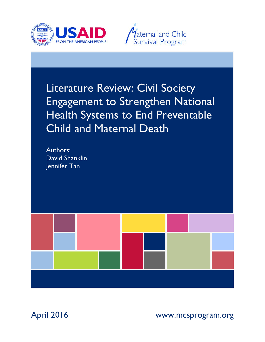



# Literature Review: Civil Society Engagement to Strengthen National Health Systems to End Preventable Child and Maternal Death

Authors: David Shanklin Jennifer Tan



April 2016 www.mcsprogram.org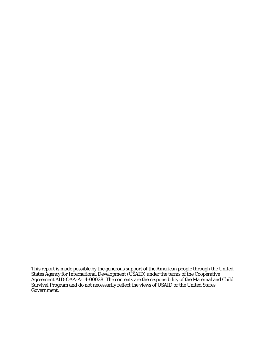This report is made possible by the generous support of the American people through the United States Agency for International Development (USAID) under the terms of the Cooperative Agreement AID-OAA-A-14-00028. The contents are the responsibility of the Maternal and Child Survival Program and do not necessarily reflect the views of USAID or the United States Government.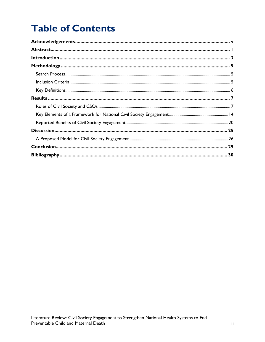# **Table of Contents**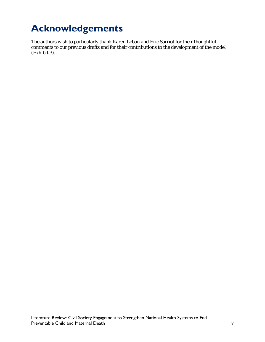# <span id="page-4-0"></span>**Acknowledgements**

The authors wish to particularly thank Karen Leban and Eric Sarriot for their thoughtful comments to our previous drafts and for their contributions to the development of the model (Exhibit 3).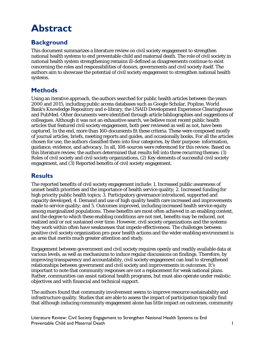# <span id="page-6-0"></span>**Abstract**

# **Background**

This document summarizes a literature review on civil society engagement to strengthen national health systems to end preventable child and maternal death. The role of civil society in national health system strengthening remains ill-defined as disagreements continue to exist concerning the roles and responsibilities of donors, governments and civil society itself. The authors aim to showcase the potential of civil society engagement to strengthen national health systems.

## **Methods**

Using an iterative approach, the authors searched for public health articles between the years 2000 and 2015, including public access databases such as Google Scholar, Popline, World Bank's Knowledge Repository and e-library, the USAID Development Experience Clearinghouse and PubMed. Other documents were identified through article bibliographies and suggestions of colleagues. Although it was not an exhaustive search, we believe most recent public health articles that featured civil society engagement, both peer reviewed as well as not, have been captured. In the end, more than 160-documents fit these criteria. These were composed mostly of journal articles, briefs, meeting reports and guides, and occasionally books. For all the articles chosen for use, the authors classified them into four categories, by their purpose: information, guidance, evidence, and advocacy. In all, 108-sources were referenced for this review. Based on this literature review, the authors determined that results fell into three recurring themes: (1) Roles of civil society and civil society organizations, (2) Key elements of successful civil society engagement, and (3) Reported benefits of civil society engagement.

## **Results**

The reported benefits of civil society engagement include: 1. Increased public awareness of unmet health priorities and the importance of health service quality; 2. Increased funding for high priority public health topics; 3. Participatory governance introduced, supported and capacity developed; 4. Demand and use of high quality health care increased and improvements made to service quality; and 5. Outcomes improved, including increased health service equity among marginalized populations. These benefits are most often achieved in an enabling context, and the degree to which these enabling conditions are not met, benefits may be reduced, not realized and/or not sustained over time. However, civil society organizations and the systems they work within often have weaknesses that impede effectiveness. The challenges between positive civil society organization pro-poor health actions and the wider enabling environment is an area that merits much greater attention and study.

Engagement between government and civil society requires openly and readily available data at various levels, as well as mechanisms to induce regular discussions on findings. Therefore, by improving transparency and accountability, civil society engagement can lead to strengthened relationships between government and civil society and improvements in outcomes. It's important to note that community responses are not a replacement for weak national plans. Rather, communities can assist national health programs, but must also operate under realistic objectives and with financial and technical support.

The authors found that community involvement seems to improve resource sustainability and infrastructure quality. Studies that are able to assess the impact of participation typically find that although inducing community engagement alone has little impact on outcomes, community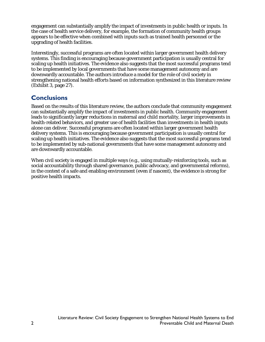engagement can substantially amplify the impact of investments in public health or inputs. In the case of health service delivery, for example, the formation of community health groups appears to be effective when combined with inputs such as trained health personnel or the upgrading of health facilities.

Interestingly, successful programs are often located within larger government health delivery systems. This finding is encouraging because government participation is usually central for scaling up health initiatives. The evidence also suggests that the most successful programs tend to be implemented by local governments that have some management autonomy and are downwardly accountable. The authors introduce a model for the role of civil society in strengthening national health efforts based on information synthesized in this literature review (Exhibit 3, page 27).

## **Conclusions**

Based on the results of this literature review, the authors conclude that community engagement can substantially amplify the impact of investments in public health. Community engagement leads to significantly larger reductions in maternal and child mortality, larger improvements in health-related behaviors, and greater use of health facilities than investments in health inputs alone can deliver. Successful programs are often located within larger government health delivery systems. This is encouraging because government participation is usually central for scaling up health initiatives. The evidence also suggests that the most successful programs tend to be implemented by sub-national governments that have some management autonomy and are downwardly accountable.

When civil society is engaged in multiple ways (e.g., using mutually-reinforcing tools, such as social accountability through shared governance, public advocacy, and governmental reforms), in the context of a safe and enabling environment (even if nascent), the evidence is strong for positive health impacts.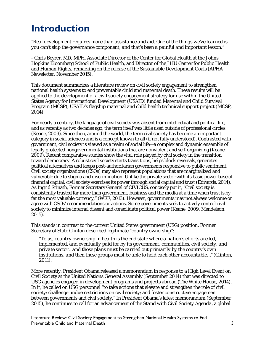# <span id="page-8-0"></span>**Introduction**

*"Real development requires more than assistance and aid. One of the things we've learned is you can't skip the governance component, and that's been a painful and important lesson."*

–Chris Beyrer, MD, MPH, Associate Director of the Center for Global Health at the Johns Hopkins Bloomberg School of Public Health, and Director of the JHU Center for Public Health and Human Rights, remarking on the release of the Sustainable Development Goals (APHA Newsletter, November 2015).

This document summarizes a literature review on civil society engagement to strengthen national health systems to end preventable child and maternal death. These results will be applied to the development of a civil society engagement strategy for use within the United States Agency for International Development (USAID) funded Maternal and Child Survival Program (MCSP), USAID's flagship maternal and child health technical support project (MCSP, 2014).

For nearly a century, the language of civil society was absent from intellectual and political life, and as recently as two decades ago, the term itself was little used outside of professional circles (Keane, 2009). Since then, around the world, the term civil society has become an important category in social sciences and is a concept known to all (if not fully understood). Contrasted with government, civil society is viewed as a realm of social life—a complex and dynamic ensemble of legally protected nongovernmental institutions that are nonviolent and self-organizing (Keane, 2009). Recent comparative studies show the vital role played by civil society in the transition toward democracy. A robust civil society starts transitions, helps block reversals, generates political alternatives and keeps post-authoritarian governments responsive to public sentiment. Civil society organizations (CSOs) may also represent populations that are marginalized and vulnerable due to stigma and discrimination. Unlike the private sector with its basic power base of financial capital, civil society exercises its power through social capital and trust (Edwards, 2014). As Ingrid Srinath, Former Secretary General of CIVICUS, concisely put it, "Civil society is consistently trusted far more than government, business and the media at a time when trust is by far the most valuable currency," (WEF, 2013). However, governments may not always welcome or agree with CSOs' recommendations or actions. Some governments seek to actively control civil society to minimize internal dissent and consolidate political power (Keane, 2009; Mendelson, 2015).

This stands in contrast to the current United States government (USG) position. Former Secretary of State Clinton described legitimate "country ownership":

*"To us, country ownership in health is the end state where a nation's efforts are led, implemented, and eventually paid for by its government, communities, civil society, and private sector…and those plans must be carried out primarily by the country's own institutions, and then these groups must be able to hold each other accountable…" (Clinton, 2011).*

More recently, President Obama released a memorandum in response to a High Level Event on Civil Society at the United Nations General Assembly (September 2014) that was directed to USG agencies engaged in development programs and projects abroad (The White House, 2014). In it, he called on USG personnel "to take actions that elevate and strengthen the role of civil society; challenge undue restrictions on civil society; and foster constructive engagement between governments and civil society." In President Obama's latest memorandum (September 2015), he continues to call for an advancement of the *Stand with Civil Society Agenda*, a global

Literature Review: Civil Society Engagement to Strengthen National Health Systems to End Preventable Child and Maternal Death 3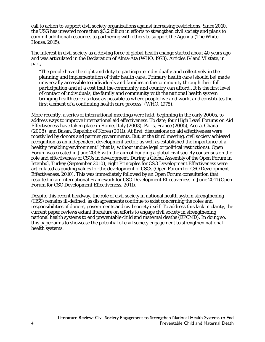call to action to support civil society organizations against increasing restrictions. Since 2010, the USG has invested more than \$3.2 billion in efforts to strengthen civil society and plans to commit additional resources to partnering with others to support the *Agenda* (The White House, 2015).

The interest in civil society as a driving force of global health change started about 40 years ago and was articulated in the Declaration of Alma-Ata (WHO, 1978). Articles IV and VI state, in part,

*"The people have the right and duty to participate individually and collectively in the planning and implementation of their health care…Primary health care [should be] made universally accessible to individuals and families in the community through their full participation and at a cost that the community and country can afford…It is the first level of contact of individuals, the family and community with the national health system bringing health care as close as possible to where people live and work, and constitutes the first element of a continuing health care process" (WHO, 1978).*

More recently, a series of international meetings were held, beginning in the early 2000s, to address ways to improve international aid effectiveness. To date, four High Level Forums on Aid Effectiveness have taken place in Rome, Italy (2003), Paris, France (2005), Accra, Ghana (2008), and Busan, Republic of Korea (2011). At first, discussions on aid effectiveness were mostly led by donors and partner governments. But, at the third meeting, civil society achieved recognition as an independent development sector, as well as established the importance of a healthy "enabling environment" (that is, without undue legal or political restrictions). Open Forum was created in June 2008 with the aim of building a global civil society consensus on the role and effectiveness of CSOs in development. During a Global Assembly of the Open Forum in Istanbul, Turkey (September 2010), eight Principles for CSO Development Effectiveness were articulated as guiding values for the development of CSOs (Open Forum for CSO Development Effectiveness, 2010). This was immediately followed by an Open Forum consultation that resulted in an International Framework for CSO Development Effectiveness in June 2011 (Open Forum for CSO Development Effectiveness, 2011).

Despite this recent headway, the role of civil society in national health system strengthening (HSS) remains ill-defined, as disagreements continue to exist concerning the roles and responsibilities of donors, governments and civil society itself. To address this lack in clarity, the current paper reviews extant literature on efforts to engage civil society in strengthening national health systems to end preventable child and maternal deaths (EPCMD). In doing so, this paper aims to showcase the potential of civil society engagement to strengthen national health systems.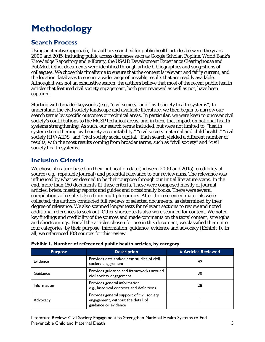# <span id="page-10-0"></span>**Methodology**

## <span id="page-10-1"></span>**Search Process**

Using an iterative approach, the authors searched for public health articles between the years 2000 and 2015, including public access databases such as Google Scholar, Popline, World Bank's Knowledge Repository and e-library, the USAID Development Experience Clearinghouse and PubMed. Other documents were identified through article bibliographies and suggestions of colleagues. We chose this timeframe to ensure that the content is relevant and fairly current, and the location databases to ensure a wide range of possible results that are readily available. Although it was not an exhaustive search, the authors believe that most of the recent public health articles that featured civil society engagement, both peer reviewed as well as not, have been captured.

Starting with broader keywords (e.g., "civil society" and "civil society health systems") to understand the civil society landscape and available literature, we then began to narrow our search terms by specific outcomes or technical areas. In particular, we were keen to uncover civil society's contributions to the MCSP technical areas, and in turn, that impact on national health systems strengthening. As such, our search terms included, but were not limited to, "health system strengthening civil society accountability," "civil society maternal and child health," "civil society HIV/AIDS" and "civil society social capital." Each search yielded a different number of results, with the most results coming from broader terms, such as "civil society" and "civil society health systems."

## <span id="page-10-2"></span>**Inclusion Criteria**

We chose literature based on their publication date (between 2000 and 2015), credibility of source (e.g., reputable journal) and potential relevance to our review aims. The relevance was influenced by what we deemed to be their purpose through our initial literature scans. In the end, more than 160 documents fit these criteria. These were composed mostly of journal articles, briefs, meeting reports and guides and occasionally books. There were several compilations of results taken from multiple sources. After the referenced materials were collected, the authors conducted full reviews of selected documents, as determined by their degree of relevance. We also scanned longer texts for relevant sections to review and noted additional references to seek out. Other shorter texts also were scanned for content. We noted key findings and credibility of the sources and made comments on the texts' content, strengths and shortcomings. For all the articles chosen for use in this document, we classified them into four categories, by their purpose: information, guidance, evidence and advocacy (Exhibit 1). In all, we referenced 108 sources for this review.

| <b>Purpose</b>     | <b>Description</b>                                                                                     | # Articles Reviewed |  |
|--------------------|--------------------------------------------------------------------------------------------------------|---------------------|--|
| Evidence           | Provides data and/or case studies of civil<br>society engagement                                       | 49                  |  |
| Guidance           | Provides guidance and frameworks around<br>civil society engagement                                    | 30                  |  |
| <b>Information</b> | Provides general information,<br>e.g., historical contexts and definitions                             | 28                  |  |
| Advocacy           | Provides general support of civil society<br>engagement, without the detail of<br>guidance or evidence |                     |  |

|  | Exhibit 1. Number of referenced public health articles, by category |  |  |
|--|---------------------------------------------------------------------|--|--|
|  |                                                                     |  |  |

Literature Review: Civil Society Engagement to Strengthen National Health Systems to End Preventable Child and Maternal Death 5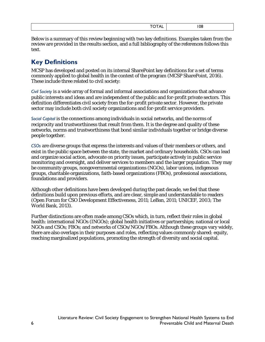| __ |
|----|
|    |

Below is a summary of this review beginning with two key definitions. Examples taken from the review are provided in the results section, and a full bibliography of the references follows this text.

# <span id="page-11-0"></span>**Key Definitions**

MCSP has developed and posted on its internal SharePoint key definitions for a set of terms commonly applied to global health in the context of the program (MCSP SharePoint, 2016). These include three related to civil society:

*Civil Society* is a wide array of formal and informal associations and organizations that advance public interests and ideas and are independent of the public and for-profit private sectors. This definition differentiates civil society from the for-profit private sector. However, the private sector may include both civil society organizations and for-profit service providers.

*Social Capital* is the connections among individuals in social networks, and the norms of reciprocity and trustworthiness that result from them. It is the degree and quality of these networks, norms and trustworthiness that bond similar individuals together or bridge diverse people together.

*CSOs* are diverse groups that express the interests and values of their members or others, and exist in the public space between the state, the market and ordinary households. CSOs can lead and organize social action, advocate on priority issues, participate actively in public service monitoring and oversight, and deliver services to members and the larger population. They may be community groups, nongovernmental organizations (NGOs), labor unions, indigenous groups, charitable organizations, faith-based organizations (FBOs), professional associations, foundations and providers.

Although other definitions have been developed during the past decade, we feel that these definitions build upon previous efforts, and are clear, simple and understandable to readers (Open Forum for CSO Development Effectiveness, 2011; LeBan, 2011; UNICEF, 2003; The World Bank, 2013).

Further distinctions are often made among CSOs which, in turn, reflect their roles in global health: international NGOs (INGOs); global health initiatives or partnerships; national or local NGOs and CSOs; FBOs; and networks of CSOs/NGOs/FBOs. Although these groups vary widely, there are also overlaps in their purposes and roles, reflecting values commonly shared: equity, reaching marginalized populations, promoting the strength of diversity and social capital.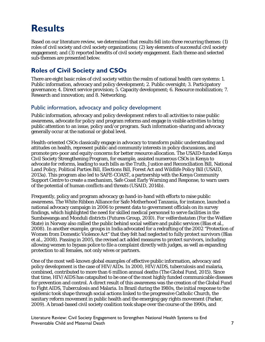# <span id="page-12-0"></span>**Results**

Based on our literature review, we determined that results fell into three recurring themes: (1) roles of civil society and civil society organizations; (2) key elements of successful civil society engagement; and (3) reported benefits of civil society engagement. Each theme and selected sub-themes are presented below.

## <span id="page-12-1"></span>**Roles of Civil Society and CSOs**

There are eight basic roles of civil society within the realm of national health care systems: 1. Public information, advocacy and policy development; 2. Public oversight; 3. Participatory governance; 4. Direct service provision; 5. Capacity development; 6. Resource mobilization; 7. Research and innovation; and 8. Networking.

### Public information, advocacy and policy development

Public information, advocacy and policy development refers to all activities to raise public awareness, advocate for policy and program reforms and engage in visible activities to bring public attention to an issue, policy and/or program. Such information-sharing and advocacy generally occur at the national or global level.

Health-oriented CSOs classically engage in advocacy to transform public understanding and attitudes on health, represent public and community interests in policy discussions, and promote pro-poor and equity concerns for better resource allocation. The USAID-funded Kenya Civil Society Strengthening Program, for example, assisted numerous CSOs in Kenya to advocate for reforms, leading to such bills as the Truth, Justice and Reconciliation Bill, National Land Policy, Political Parties Bill, Elections Bill, Forest Act and Wildlife Policy Bill (USAID, 2013a). This program also led to SAFE-COAST, a partnership with the Kenya Community Support Centre to create a mechanism, Safe Coast Early Warning and Response, to warn users of the potential of human conflicts and threats (USAID, 2014b).

Frequently, policy and program advocacy go hand-in-hand with efforts to raise public awareness. The White Ribbon Alliance for Safe Motherhood Tanzania, for instance, launched a national advocacy campaign in 2006 to present data to government officials on its survey findings, which highlighted the need for skilled medical personnel to serve facilities in the Sumbawanga and Monduli districts (Futures Group, 2010). *For velferdsstaten* (For the Welfare State) in Norway also rallied the public behind social welfare and public services (Blas et al., 2008). In another example, groups in India advocated for a redrafting of the 2002 "Protection of Women from Domestic Violence Act" that they felt had neglected to fully protect survivors (Blas et al., 2008). Passing in 2005, the revised act added measures to protect survivors, including allowing women to bypass police to file a complaint directly with judges, as well as expanding protection to all females, not only wives or partners.

One of the most well-known global examples of effective public information, advocacy and policy development is the case of HIV/AIDs. In 2000, HIV/AIDS, tuberculosis and malaria, combined, contributed to more than 6 million annual deaths (The Global Fund, 2015). Since that time, HIV/AIDS has catapulted to be one of the most highly funded communicable diseases for prevention and control. A direct result of this awareness was the creation of the Global Fund to Fight AIDS, Tuberculosis and Malaria. In Brazil during the 1980s, the initial response to the epidemic took shape through social actions linked to the progressive Catholic Church, the sanitary reform movement in public health and the emerging gay rights movement (Parker, 2009). A broad-based civil society coalition took shape over the course of the 1990s, and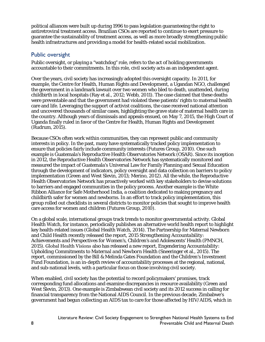political alliances were built up during 1996 to pass legislation guaranteeing the right to antiretroviral treatment access. Brazilian CSOs are reported to continue to exert pressure to guarantee the sustainability of treatment access, as well as more broadly strengthening public health infrastructures and providing a model for health-related social mobilization.

## Public oversight

Public oversight, or playing a "watchdog" role, refers to the act of holding governments accountable to their commitments. In this role, civil society acts as an independent agent.

Over the years, civil society has increasingly adopted this oversight capacity. In 2011, for example, the Centre for Health, Human Rights and Development, a Ugandan NGO, challenged the government in a landmark lawsuit over two women who bled to death, unattended, during childbirth in local hospitals (Ray et al., 2012; Webb, 2011). The case claimed that these deaths were preventable and that the government had violated these patients' rights to maternal health care and life. Leveraging the support of activist coalitions, the case received national attention and uncovered thousands of similar cases, highlighting the grave state of maternal health care in the country. Although years of dismissals and appeals ensued, on May 7, 2015, the High Court of Uganda finally ruled in favor of the Centre for Health, Human Rights and Development (Rudrum, 2015).

Because CSOs often work within communities, they can represent public and community interests in policy. In the past, many have systematically tracked policy implementation to ensure that policies fairly include community interests (Futures Group, 2010). One such example is Guatemala's Reproductive Health Observatories Network (OSAR). Since its inception in 2012, the Reproductive Health Observatories Network has systematically monitored and measured the impact of Guatemala's Universal Law for Family Planning and Sexual Education through the development of indicators, policy oversight and data collection on barriers to policy implementation (Green and West Slevin, 2013; Merino, 2012). All the while, the Reproductive Health Observatories Network has proactively worked with key stakeholders to devise solutions to barriers and engaged communities in the policy process. Another example is the White Ribbon Alliance for Safe Motherhood India, a coalition dedicated to making pregnancy and childbirth safer for women and newborns. In an effort to track policy implementation, this group rolled out checklists in several districts to monitor policies that sought to improve health care access for women and children (Futures Group, 2010).

On a global scale, international groups track trends to monitor governmental activity. Global Health Watch, for instance, periodically publishes an alternative world health report to highlight key health-related issues (Global Health Watch, 2014). The Partnership for Maternal Newborn and Child Health recently released the report, *2015 Strengthening Accountability: Achievements and Perspectives for Women's, Children's and Adolescents' Health* (PMNCH, 2015). Global Health Visions also has released a new report, *Engendering Accountability: Upholding Commitments to Maternal and Newborn Health* (Sneeringer et al., 2015). The report, commissioned by the Bill & Melinda Gates Foundation and the Children's Investment Fund Foundation, is an in-depth review of accountability processes at the regional, national, and sub-national levels, with a particular focus on those involving civil society.

When enabled, civil society has the potential to record policymakers' promises, track corresponding fund allocations and examine discrepancies in resource availability (Green and West Slevin, 2013). One example is Zimbabwean civil society and its 2012 success in calling for financial transparency from the National AIDS Council. In the previous decade, Zimbabwe's government had begun collecting an AIDS tax to care for those affected by HIV/AIDS, which in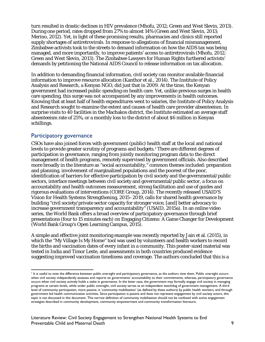turn resulted in drastic declines in HIV prevalence (Mhofu, 2012; Green and West Slevin, 2013). During one period, rates dropped from 27% to almost 14% (Green and West Slevin, 2013; Merino, 2012). Yet, in light of these promising results, pharmacies and clinics still reported supply shortages of antiretrovirals. In response to allegations of financial mismanagement, Zimbabwe activists took to the streets to demand information on how the AIDS tax was being managed, and more importantly, to improve patients' access to antiretrovirals (Mhofu, 2012; Green and West Slevin, 2013). The Zimbabwe Lawyers for Human Rights furthered activists' demands by petitioning the National AIDS Council to release information on tax allocation.

In addition to demanding financial information, civil society can monitor available financial information to improve resource allocation (Kanthor et al., 2014). The Institute of Policy Analysis and Research, a Kenyan NGO, did just that in 2009. At the time, the Kenyan government had increased public spending on health care. Yet, unlike previous surges in health care spending, this surge was not accompanied by any improvements in health outcomes. Knowing that at least half of health expenditures went to salaries, the Institute of Policy Analysis and Research sought to examine the extent and causes of health care provider absenteeism. In surprise visits to 40 facilities in the Machakos district, the Institute estimated an average staff absenteeism rate of 25%, or a monthly loss to the district of about \$6 million in Kenyan schillings.

#### Participatory governance

CSOs have also joined forces with government (public) health staff at the local and national levels to provide greater scrutiny of programs and budgets.[1](#page-14-0) There are different degrees of participation in governance, ranging from jointly monitoring program data to the direct management of health programs, remotely supervised by government officials. Also described more broadly in the literature as "social accountability," common themes included: preparation and planning, involvement of marginalized populations and the poorest of the poor, identification of barriers for effective participation by civil society and the governmental/public sectors, interface meetings between civil society and governmental/public sector, a focus on accountability and health outcomes measurement, strong facilitation and use of guides and rigorous evaluations of interventions (CORE Group, 2014). The recently released USAID'S Vision for Health Systems Strengthening, 2015–2019, calls for shared health governance by building "civil society/private sector capacity for stronger voice, [and] better advocacy to increase government transparency and accountability" (USAID, 2015a). In an online video series, the World Bank offers a broad overview of participatory governance through brief presentations (four to 15 minutes each) on Engaging Citizens: A Game Changer for Development (World Bank Group's Open Learning Campus, 2015).

A simple and effective joint monitoring example was recently reported by Jain et al. (2015), in which the ''My Village Is My Home'' tool was used by volunteers and health workers to record the births and vaccination dates of every infant in a community. This poster-sized material was tested in India and Timor Leste, and assessments in both countries produced evidence suggesting improved vaccination timeliness and coverage. The authors concluded that this is a

<span id="page-14-0"></span> $<sup>1</sup>$  It is useful to note the difference between public oversight and participatory governance, as the authors view them. Public oversight occurs</sup> when civil society independently assesses and reports on governments' accountability to their commitments, whereas, participatory governance occurs when civil society actively holds a stake in governance. In the latter case, the government may formally engage civil society in managing programs at certain levels, while under public oversight, civil society serves as an independent watchdog of government management. A third level of community participation, more passive, is 'community mobilization' (as defined by these authors) by public health workers, and through government led health communication activities. Since participation is passive and does not represent engagement by civil society actors, this topic is not discussed in this document. This narrow definition of community mobilization should not be confused with active engagement strategies described in community development, community empowerment and community transformation literature.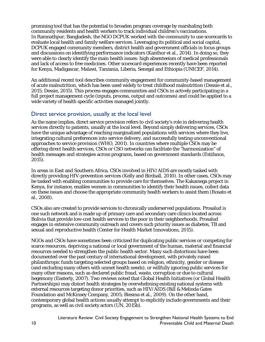promising tool that has the potential to broaden program coverage by marshaling both community residents and health workers to track individual children's vaccinations. In Ramnathpur, Bangladesh, the NGO DCPUK worked with the community to use scorecards to evaluate local health and family welfare services. Leveraging its political and social capital, DCPUK engaged community members, district health and government officials in focus groups and discussions on identifying performance indicators (Kanthor et al., 2014). In doing so, they were able to clearly identify the main health issues: high absenteeism of medical professionals and lack of access to free medicines. Other scorecard experiences recently have been reported for Kenya, Madigascar, Malawi, Tanzania, Liberia, Senegal and Ethiopia (UNICEF, 2014).

An additional recent tool describes community engagement for community-based management of acute malnutrition, which has been used widely to treat childhood malnutrition (Dessie et al., 2015; Dessie, 2015). This process engages communities and CSOs in actively participating in a full project management cycle (inputs, process, output and outcomes) and could be applied to a wide variety of health specific activities managed jointly.

### Direct service provision, usually at the local level

As the name implies, direct service provision refers to civil society's role in delivering health services directly to patients, usually at the local level. Beyond simply delivering services, CSOs have the unique advantage of reaching marginalized populations with services where they live, integrating cultural preferences into service delivery, and successfully testing unconventional approaches to service provision (WHO, 2001). In countries where multiple CSOs may be offering direct health services, CSOs or CSO networks can facilitate the "harmonization" of health messages and strategies across programs, based on government standards (Estifanos, 2015).

In areas in East and Southern Africa, CSOs involved in HIV/AIDS are mostly tasked with directly providing HIV-prevention services (Kelly and Birdsall, 2010). In other cases, CSOs may be tasked with enabling communities to provide care for themselves. The Kakamega project in Kenya, for instance, enables women in communities to identify their health issues, collect data on these issues and choose the appropriate community health workers to assist them (Rosato et al., 2008).

CSOs also are created to provide services to chronically underserved populations. Prosalud is one such network and is made up of primary care and secondary care clinics located across Bolivia that provide low-cost health services to the poor in their neighborhoods. Prosalud engages in extensive community outreach and covers such priority issues as diabetes, TB and sexual and reproductive health (Center for Health Market Innovations, 2015).

NGOs and CSOs have sometimes been criticized for duplicating public services or competing for scarce resources, depriving a national or local government of the human, material and financial resources needed to strengthen the public health sector. Many such distortions have been documented over the past century of international development, with privately raised philanthropic funds targeting selected groups based on religion, ethnicity, gender or disease (and excluding many others with unmet health needs), or willfully ignoring public services for many other reasons, such as declared public fraud, waste, corruption or due to cultural hegemony (Easterly, 2007). Two reviews noted that Global Health Initiatives (or Global Health Partnerships) may distort health strategies by overwhelming existing national systems with external resources targeting donor priorities, such as HIV/AIDS (Bill & Melinda Gates Foundation and McKinsey Company, 2005; Biesma et al., 2009). On the other hand, contemporary global health actions usually attempt to explicitly include governments and their programs, as well as civil society actors (UN, 2015b).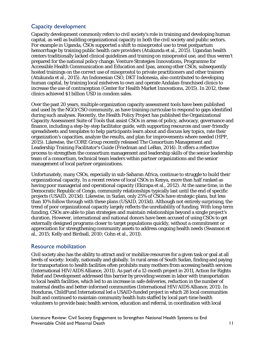## Capacity development

Capacity development commonly refers to civil society's role in training and developing human capital, as well as building organizational capacity in both the civil society and public sectors. For example in Uganda, CSOs supported a shift to misoprostol use to treat postpartum hemorrhage by training public health care providers (Atukunda et al., 2015). Ugandan health centers traditionally lacked clinical guidelines and training on misoprostol use, and thus weren't prepared for the national policy change. Venture Strategies Innovations, Programme for Accessible Health Communication and Education and Ipas, among other CSOs, subsequently hosted trainings on the correct use of misoprostol to private practitioners and other trainers (Atukunda et al., 2015). An Indonesian CSO, DKT Indonesia, also contributed to developing human capital, by training local midwives to own and operate Andalan-franchised clinics to increase the use of contraception (Center for Health Market Innovations, 2015). In 2012, these clinics achieved \$1 billion USD in condom sales.

Over the past 20 years, multiple organization capacity assessment tools have been published and used by the NGO/CSO community, as have training curriculae to respond to gaps identified during such analyses. Recently, the Health Policy Project has published the Organizational Capacity Assessment Suite of Tools that assist CSOs in areas of policy, advocacy, governance and finance, including a step-by-step facilitator guide, with supporting resources and user-friendly spreadsheets and templates to help participants learn about and discuss key topics, rate their organization's capacities, analyze the results, and plan for improvements where needed (HPP, 2015). Likewise, the CORE Group recently released The Consortium Management and Leadership Training Facilitator's Guide (Friedman and LeBan, 2014). It offers a reflective process to strengthen the consortium management and leadership skills of the senior leadership team of a consortium, technical team leaders within partner organizations and the senior management of local partner organizations.

Unfortunately, many CSOs, especially in sub-Saharan Africa, continue to struggle to build their organizational capacity. In a recent review of local CSOs in Kenya, more than half ranked as having poor managerial and operational capacity (Ekirapa et al., 2012). At the same time, in the Democratic Republic of Congo, community relationships typically last until the end of specific projects (USAID, 2013d). Likewise, in Sudan, only 25% of CSOs have strategic plans, but less than 10% follow through with these plans (USAID, 2013d). Although not entirely surprising, the trend of poor organizational capacity largely reflects the unreliability of funding. With long-term funding, CSOs are able to plan strategies and maintain relationships beyond a single project's duration. However, international and national donors have been accused of using CSOs to get externally designed programs closer to target populations quickly, without a commitment or appreciation for strengthening community assets to address ongoing health needs (Swanson et al., 2015; Kelly and Birdsall, 2010; Cohn et al., 2011).

### Resource mobilization

Civil society also has the ability to attract and/or mobilize resources for a given task or goal at all levels of society: locally, nationally and globally. In rural areas of South Sudan, finding and paying for transportation to health facilities often prohibits many mothers from accessing health services (International HIV/AIDS Alliance, 2011). As part of a 12-month project in 2011, Action for Rights Relief and Development addressed this barrier by providing women in labor with transportation to local health facilities, which led to an increase in safe deliveries, reduction in the number of maternal deaths and better-informed communities (International HIV/AIDS Alliance, 2011). In Honduras, ChildFund International led a USAID-funded project in which 28 local communities built and continued to maintain community health huts staffed by local part-time health volunteers to provide basic health services, education and referral, in coordination with local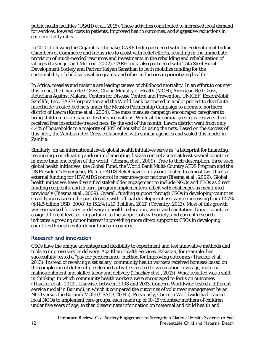public health facilities (USAID et al., 2015). These activities contributed to increased local demand for services, lowered costs to patients, improved health outcomes, and suggestive reductions in child mortality rates.

In 2010, following the Gujarat earthquake, CARE India partnered with the Federation of Indian Chambers of Commerce and Industries to assist with relief efforts, resulting in the immediate provision of much-needed resources and investments in the rebuilding and rehabilitation of villages (Levenger and McLeod, 2002). CARE India also partnered with Tata Steel Rural Development Society and Parivar Kalyan Sansthan to both mobilize funding for the sustainability of child survival programs, and other industries in prioritizing health.

In Africa, measles and malaria are leading causes of childhood mortality. In an effort to counter this trend, the Ghana Red Cross, Ghana Ministry of Health (MOH), American Red Cross, Rotarians Against Malaria, Centers for Disease Control and Prevention, UNICEF, ExxonMobil, Satellife, Inc., BASF Corporation and the World Bank partnered in a pilot project to distribute insecticide-treated bed nets under the Measles Partnership Campaign to a remote northern district of Lawra (Kanne et al., 2004). The mass measles campaign encouraged caregivers to bring children to campaign sites for vaccinations. While at the campaign site, caregivers then received free insecticide-treated nets. By the end of the month, Lawra district went from only 4.4% of households to a majority of 80% of households using the nets. Based on the success of this pilot, the Zambian Red Cross collaborated with similar agencies and scaled this model in Zambia.

Similarly, on an international level, global health initiatives serve as "a blueprint for financing, resourcing, coordinating and/or implementing disease control across at least several countries in more than one region of the world" (Biesma et al., 2009). True to their description, three such global health initiatives, the Global Fund, the World Bank Multi-Country AIDS Program and the US President's Emergency Plan for AIDS Relief have jointly contributed to almost two-thirds of external funding for HIV/AIDS control in resource-poor nations (Biesma et al., 2009). Global health initiatives have diversified stakeholder engagement to include NGOs and FBOs as direct funding recipients, and in turn, program implementers, albeit with challenges as mentioned previously (Biesma et al., 2009). Overall, funding support through CSOs in developing countries steadily increased in the past decade, with official development assistance increasing from 12.7% (\$14.5 billion USD, 2008) to 15.2% (\$19.3 billion, 2011) (Coventry, 2013). Most of this growth was earmarked for service delivery in health, education, water and sanitation. Donor countries assign different levels of importance to the support of civil society, and current research indicates a growing donor interest in providing more direct support to CSOs in developing countries through multi-donor funds in-country.

### Research and innovation

CSOs have the unique advantage and flexibility to experiment and test innovative methods and tools to improve service delivery. Aga Khan Health Services, Pakistan, for example, has successfully tested a "pay for performance" method for improving outcomes (Thacker et al., 2013). Instead of receiving a set salary, community health workers received bonuses based on the completion of different pre-defined activities related to vaccination coverage, maternal malnourishment and skilled labor and delivery (Thacker et al., 2013). What resulted was a shift in thinking, in which community health workers were encouraged to focus on outcomes (Thacker et al., 2013). Likewise, between 2008 and 2013, Concern Worldwide tested a different service model in Burundi, in which it compared the outcomes of volunteer management by an NGO versus the Burundi MOH (USAID, 2014c). Previously, Concern Worldwide had trained local NGOs to implement care groups, each made up of 10-15 volunteer mothers of children under five years of age, to then disseminate information on maternal and child health and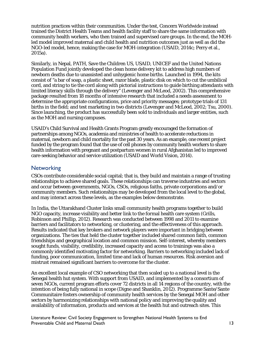nutrition practices within their communities. Under the test, Concern Worldwide instead trained the District Health Teams and health facility staff to share the same information with community health workers, who then trained and supervised care groups. In the end, the MOHled model improved maternal and child health and nutrition outcomes just as well as did the NGO-led model, hence, making the case for MOH-integration (USAID, 2014c; Perry et al., 2015a).

Similarly, in Nepal, PATH, Save the Children US, USAID, UNICEF and the United Nations Population Fund jointly developed the clean home delivery kit to address high numbers of newborn deaths due to unassisted and unhygienic home births. Launched in 1994, the kits consist of "a bar of soap, a plastic sheet, razor blade, plastic disk on which to cut the umbilical cord, and string to tie the cord along with pictorial instructions to guide birthing attendants with limited literacy skills through the delivery" (Levenger and McLeod, 2002). This comprehensive package resulted from 18 months of intensive research that included a needs assessment to determine the appropriate configurations, price and priority messages; prototype trials of 131 births in the field; and test marketing in two districts (Levenger and McLeod, 2002; Tsu, 2000). Since launching, the product has successfully been sold to individuals and larger entities, such as the MOH and nursing campuses.

USAID's Child Survival and Health Grants Program greatly encouraged the formation of partnerships among NGOs, academia and ministries of health to accelerate reductions in maternal, newborn and child mortality for the past 30 years. As an example, one recent project funded by the program found that the use of cell phones by community health workers to share health information with pregnant and postpartum women in rural Afghanistan led to improved care-seeking behavior and service utilization (USAID and World Vision, 2014).

### **Networking**

CSOs contribute considerable social capital; that is, they build and maintain a range of trusting relationships to achieve shared goals. These relationships can traverse industries and sectors and occur between governments, NGOs, CSOs, religious faiths, private corporations and/or community members. Such relationships may be developed from the local level to the global, and may interact across these levels, as the examples below demonstrate.

In India, the Uttarakhand Cluster links small community health programs together to build NGO capacity, increase visibility and better link to the formal health care system (Grills, Robinson and Phillip, 2012). Research was conducted between 1998 and 2011 to examine barriers and facilitators to networking, or clustering, and the effectiveness of this approach. Results indicated that key brokers and network players were important in bridging between organizations. The ties that held the cluster together included shared common faith, common friendships and geographical location and common mission. Self-interest, whereby members sought funds, visibility, credibility, increased capacity and access to trainings was also a commonly identified motivating factor for networking. Barriers to networking included lack of funding, poor communication, limited time and lack of human resources. Risk aversion and mistrust remained significant barriers to overcome for the cluster.

An excellent local example of CSO networking that then scaled up to a national level is the Senegal health hut system. With support from USAID, and implemented by a consortium of seven NGOs, current program efforts cover 72 districts in all 14 regions of the country, with the intention of being fully national in scope (Digne and Shanklin, 2012). Programme Sante/Sante Communitaire fosters ownership of community health services by the Senegal MOH and other sectors by harmonizing relationships with national policy and improving the quality and availability of information, products and services at the health hut and outreach sites. This

Literature Review: Civil Society Engagement to Strengthen National Health Systems to End Preventable Child and Maternal Death 13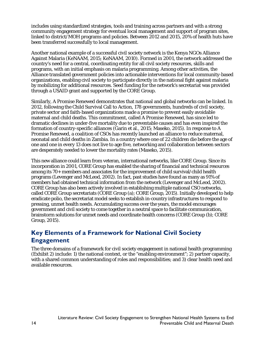includes using standardized strategies, tools and training across partners and with a strong community engagement strategy for eventual local management and support of program sites, linked to district/MOH programs and policies. Between 2012 and 2015, 20% of health huts have been transferred successfully to local management.

Another national example of a successful civil society network is the Kenya NGOs Alliance Against Malaria (KeNAAM, 2015; KeNAAM, 2010). Formed in 2001, the network addressed the country's need for a central, coordinating entity for all civil society resources, skills and programs, with an initial emphasis on malaria programming. Among other activities, the Alliance translated government policies into actionable interventions for local community-based organizations, enabling civil society to participate directly in the national fight against malaria by mobilizing for additional resources. Seed funding for the network's secretariat was provided through a USAID grant and supported by the CORE Group.

Similarly, A Promise Renewed demonstrates that national and global networks can be linked. In 2012, following the Child Survival Call to Action, 178 governments, hundreds of civil society, private sector and faith-based organizations made a promise to prevent easily avoidable maternal and child deaths. This commitment, called A Promise Renewed, has since led to dramatic declines in under-five mortality due to preventable causes and has even inspired the formation of country-specific alliances (Garin et al., 2015; Maseko, 2015). In response to A Promise Renewed, a coalition of CSOs has recently launched an alliance to reduce maternal, neonatal and child deaths in Zambia. In a country where one of 22 children die before the age of one and one in every 13 does not live to age five, networking and collaboration between sectors are desperately needed to lower the mortality rates (Maseko, 2015).

This new alliance could learn from veteran, international networks, like CORE Group. Since its incorporation in 2001, CORE Group has enabled the sharing of financial and technical resources among its 70+ members and associates for the improvement of child survival/child health programs (Levenger and McLeod, 2002). In fact, past studies have found as many as 91% of members had obtained technical information from the network (Levenger and McLeod, 2002). CORE Group has also been actively involved in establishing multiple national CSO networks, called CORE Group secretariats (CORE Group (a); CORE Group, 2015). Initially developed to help eradicate polio, the secretariat model seeks to establish in-country infrastructures to respond to pressing, unmet health needs. Accumulating success over the years, the model encourages government and civil society to come together in a neutral space to facilitate communication, brainstorm solutions for unmet needs and coordinate health concerns (CORE Group (b); CORE Group, 2015).

## <span id="page-19-0"></span>**Key Elements of a Framework for National Civil Society Engagement**

The three domains of a framework for civil society engagement in national health programming (Exhibit 2) include: 1) the national context, or the "enabling environment"; 2) partner capacity, with a shared common understanding of roles and responsibilities; and 3) clear health need and available resources.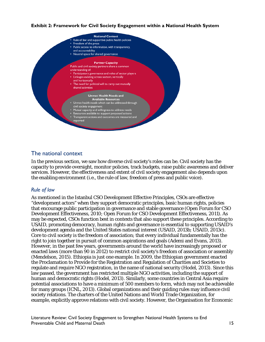#### **Exhibit 2: Framework for Civil Society Engagement within a National Health System**



### The national context

In the previous section, we saw how diverse civil society's roles can be. Civil society has the capacity to provide oversight, monitor policies, track budgets, raise public awareness and deliver services. However, the effectiveness and extent of civil society engagement also depends upon the enabling environment (i.e., the rule of law, freedom of press and public voice).

#### *Rule of law*

As mentioned in the Istanbul CSO Development Effective Principles, CSOs are effective "development actors" when they support democratic principles, basic human rights, policies that encourage public participation in governance and stable governance (Open Forum for CSO Development Effectiveness, 2010; Open Forum for CSO Development Effectiveness, 2011). As may be expected, CSOs function best in contexts that also support these principles. According to USAID, promoting democracy, human rights and governance is essential to supporting USAID's development agenda and the United States national interest (USAID, 2013b; USAID, 2013c). Core to civil society is the freedom of association; that every individual fundamentally has the right to join together in pursuit of common aspirations and goals (Ademi and Evans, 2013). However, in the past few years, governments around the world have increasingly proposed or enacted laws (more than 90 in 2012) to restrict civil society's freedom of association or assembly (Mendelson, 2015). Ethiopia is just one example. In 2009, the Ethiopian government enacted the Proclamation to Provide for the Registration and Regulation of Charities and Societies to regulate and require NGO registration, in the name of national security (Hodel, 2013). Since this law passed, the government has restricted multiple NGO activities, including the support of human and democratic rights (Hodel, 2013). Similarly, some countries in Central Asia require potential associations to have a minimum of 500 members to form, which may not be achievable for many groups (ICNL, 2013). Global organizations and their guiding rules may influence civil society relations. The charters of the United Nations and World Trade Organization, for example, explicitly approve relations with civil society. However, the Organisation for Economic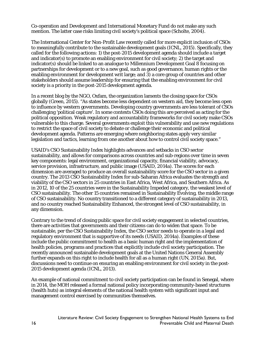Co-operation and Development and International Monetary Fund do not make any such mention. The latter case risks limiting civil society's political space (Scholte, 2004).

The International Center for Non-Profit Law recently called for more explicit inclusion of CSOs to meaningfully contribute to the sustainable development goals (ICNL, 2015). Specifically, they called for the following actions: 1) the post-2015 development agenda should include a target and indicator(s) to promote an enabling environment for civil society; 2) the target and indicator(s) should be linked to an analogue to Millennium Development Goal 8 focusing on partnerships for development or to a new goal, such as good governance, human rights or the enabling environment for development writ large; and 3) a core group of countries and other stakeholders should assume leadership for ensuring that the enabling environment for civil society is a priority in the post-2015 development agenda.

In a recent blog by the NGO, Oxfam, the organization laments the closing space for CSOs globally (Green, 2015). "As states become less dependent on western aid, they become less open to influence by western governments. Developing country governments are less tolerant of CSOs challenging 'political capture'. In some contexts CSOs doing this are perceived as acting for the political opposition. Weak regulatory and accountability frameworks for civil society make CSOs vulnerable to this charge. Several governments exploit this vulnerability and use new regulations to restrict the space of civil society to debate or challenge their economic and political development agenda. Patterns are emerging where neighboring states apply very similar legislation and tactics, learning from one another about how to control civil society space."

USAID's CSO Sustainability Index highlights advances and setbacks in CSO sector sustainability, and allows for comparisons across countries and sub-regions over time in seven key components: legal environment, organizational capacity, financial viability, advocacy, service provision, infrastructure, and public image (USAID, 2014a). The scores for each dimension are averaged to produce an overall sustainability score for the CSO sector in a given country. The 2013 CSO Sustainability Index for sub-Saharan Africa evaluates the strength and viability of the CSO sectors in 25 countries in East Africa, West Africa, and Southern Africa. As in 2012, 10 of the 25 countries were in the Sustainability Impeded category, the weakest level of CSO sustainability. The other 15 countries remained in Sustainability Evolving, the middle range of CSO sustainability. No country transitioned to a different category of sustainability in 2013, and no country reached Sustainability Enhanced, the strongest level of CSO sustainability, in any dimension.

Contrary to the trend of closing public space for civil society engagement in selected countries, there are activities that governments and their citizens can do to widen that space. To be sustainable, per the CSO Sustainability Index, the CSO sector needs to operate in a legal and regulatory environment that is supportive of its needs (USAID, 2014a). Examples of these include the public commitment to health as a basic human right and the implementation of health policies, programs and practices that explicitly include civil society participation. The recently announced sustainable development goals at the United Nations General Assembly further expands on this right to include health for all as a human right (UN, 2015a). But, discussions need to continue on ensuring an enabling environment for civil society in the post-2015 development agenda (ICNL, 2013).

An example of national commitment to civil society participation can be found in Senegal, where in 2014, the MOH released a formal national policy incorporating community-based structures (health huts) as integral elements of the national health system with significant input and management control exercised by communities themselves.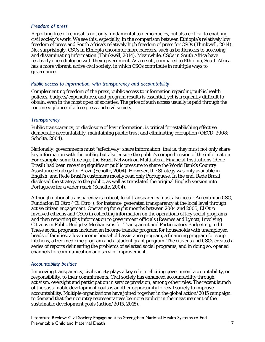#### *Freedom of press*

Reporting free of reprisal is not only fundamental to democracies, but also critical to enabling civil society's work. We see this, especially, in the comparison between Ethiopia's relatively low freedom of press and South Africa's relatively high freedom of press for CSOs (Thinkwell, 2014). Not surprisingly, CSOs in Ethiopia encounter more barriers, such as bottlenecks to accessing and disseminating information (Thinkwell, 2014). Meanwhile, CSOs in South Africa have relatively open dialogue with their government. As a result, compared to Ethiopia, South Africa has a more vibrant, active civil society, in which CSOs contribute in multiple ways to governance.

#### *Public access to information, with transparency and accountability*

Complementing freedom of the press, public access to information regarding public health policies, budgets/expenditures, and program results is essential, yet is frequently difficult to obtain, even in the most open of societies. The price of such access usually is paid through the routine vigilance of a free press and civil society.

#### *Transparency*

Public transparency, or disclosure of key information, is critical for establishing effective democratic accountability, maintaining public trust and eliminating corruption (OECD, 2008; Scholte, 2004).

Nationally, governments must "effectively" share information; that is, they must not only share key information with the public, but also ensure the public's comprehension of the information. For example, some time ago, the Brazil Network on Multilateral Financial Institutions (Rede Brasil) had been receiving significant public pressure to share the World Bank's Country Assistance Strategy for Brazil (Scholte, 2004). However, the Strategy was only available in English, and Rede Brasil's customers mostly read only Portuguese. In the end, Rede Brasil disclosed the strategy to the public, as well as translated the original English version into Portuguese for a wider reach (Scholte, 2004).

Although national transparency is critical, local transparency must also occur. Argentinian CSO, Fundacion El Otro ("El Otro"), for instance, generated transparency at the local level through active citizen engagement. Operating for eight months between 2004 and 2005, El Otro involved citizens and CSOs in collecting information on the operations of key social programs and then reporting this information to government officials (Reames and Lynott, Involving Citizens in Public Budgets: Mechanisms for Transparent and Participatory Budgeting, n.d.). These social programs included an income transfer program for households with unemployed heads of families, a low-income household assistance program, a financing program for soup kitchens, a free medicine program and a student grant program. The citizens and CSOs created a series of reports delineating the problems of selected social programs, and in doing so, opened channels for communication and service improvement.

#### *Accountability besides*

Improving transparency, civil society plays a key role in eliciting government accountability, or responsibility, to their commitments. Civil society has enhanced accountability through activism, oversight and participation in service provision, among other roles. The recent launch of the sustainable development goals is another opportunity for civil society to improve accountability. Multiple organizations have joined together in the global action/2015 campaign to demand that their country representatives be more explicit in the measurement of the sustainable development goals (action/2015, 2015).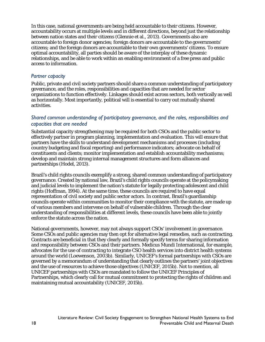In this case, national governments are being held accountable to their citizens. However, accountability occurs at multiple levels and in different directions, beyond just the relationship between nation states and their citizens (Glennie et al., 2013). Governments also are accountable to foreign donor agencies; foreign donors are accountable to the governments' citizens; and the foreign donors are accountable to their own governments' citizens. To ensure optimal accountability, all parties should be aware of the interplay of these dynamic relationships, and be able to work within an enabling environment of a free press and public access to information.

#### *Partner capacity*

Public, private and civil society partners should share a common understanding of participatory governance, and the roles, responsibilities and capacities that are needed for sector organizations to function effectively. Linkages should exist across sectors, both vertically as well as horizontally. Most importantly, political will is essential to carry out mutually shared activities.

#### *Shared common understanding of participatory governance, and the roles, responsibilities and capacities that are needed*

Substantial capacity strengthening may be required for both CSOs and the public sector to effectively partner in program planning, implementation and evaluation. This will ensure that partners have the skills to understand development mechanisms and processes (including country budgeting and fiscal reporting) and performance indicators; advocate on behalf of constituents and clients; monitor implementation and establish accountability mechanisms; develop and maintain strong internal management structures and form alliances and partnerships (Hodel, 2013).

Brazil's child rights councils exemplify a strong, shared common understanding of participatory governance. Created by national law, Brazil's child rights councils operate at the policymaking and judicial levels to implement the nation's statute for legally protecting adolescent and child rights (Hoffman, 1994). At the same time, these councils are required to have equal representation of civil society and public sector actors. In contrast, Brazil's guardianship councils operate within communities to monitor their compliance with the statute, are made up of various members and intervene on behalf of vulnerable children. Through the clear understanding of responsibilities at different levels, these councils have been able to jointly enforce the statute across the nation.

National governments, however, may not always support CSOs' involvement in governance. Some CSOs and public agencies may then opt for alternative legal remedies, such as contracting. Contracts are beneficial in that they clearly and formally specify terms for sharing information and responsibility between CSOs and their partners. Medicus Mundi International, for example, advocates for the use of contracting to integrate CSO health services into district health systems around the world (Loewenson, 2003b). Similarly, UNICEF's formal partnerships with CSOs are governed by a memorandum of understanding that clearly outlines the partners' joint objectives and the use of resources to achieve those objectives (UNICEF, 2015b). Not to mention, all UNICEF partnerships with CSOs are mandated to follow the UNICEF Principles of Partnerships, which clearly call for mutual commitment to protecting the rights of children and maintaining mutual accountability (UNICEF, 2015b).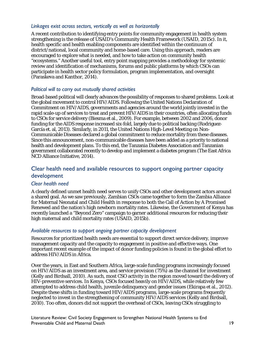#### *Linkages exist across sectors, vertically as well as horizontally*

A recent contribution to identifying entry points for community engagement in health system strengthening is the release of USAID's Community Health Framework (USAID, 2015c). In it, health specific and health enabling components are identified within the continuum of district/national, local community and home-based care. Using this approach, readers are encouraged to explore what is needed, and how to take action on community health "ecosystems." Another useful tool, entry point mapping provides a methodology for systemic review and identification of mechanisms, forums and public platforms by which CSOs can participate in health sector policy formulation, program implementation, and oversight (Paraskeva and Kanthor, 2014).

#### *Political will to carry out mutually shared activities*

Broad-based political will clearly advances the possibility of responses to shared problems. Look at the global movement to control HIV/AIDS. Following the United Nations Declaration of Commitment on HIV/AIDS, governments and agencies around the world jointly invested in the rapid scale-up of services to treat and prevent HIV/AIDS in their countries, often allocating funds to CSOs for service delivery (Biesma et al., 2009). For example, between 2002 and 2006, donor funding for the AIDS response increased six-fold, largely due to political backing (Rodriguez-García et. al, 2013). Similarly, in 2011, the United Nations High-Level Meeting on Non-Communicable Diseases declared a global commitment to reduce mortality from these diseases. Since this announcement, non-communicable diseases have been added as a priority to national health and development plans. To this end, the Tanzania Diabetes Association and Tanzanian government collaborated recently to develop and implement a diabetes program (The East Africa NCD Alliance Initiative, 2014).

### Clear health need and available resources to support ongoing partner capacity development

#### *Clear health need*

A clearly defined unmet health need serves to unify CSOs and other development actors around a shared goal. As we saw previously, Zambian CSOs came together to form the Zambia Alliance for Maternal Neonatal and Child Health in response to both the Call of Action by A Promised Renewed and the nation's high newborn mortality rates. Likewise, the Government of Kenya has recently launched a "Beyond Zero" campaign to garner additional resources for reducing their high maternal and child mortality rates (USAID, 2015b).

#### *Available resources to support ongoing partner capacity development*

Resources for prioritized health needs are essential to support direct service delivery, improve management capacity and the capacity to engagement in positive and effective ways. One important recent example of the impact of donor funding policies is found in the global effort to address HIV/AIDS in Africa.

Over the years, in East and Southern Africa, large-scale funding programs increasingly focused on HIV/AIDS as an investment area, and service provision (75%) as the channel for investment (Kelly and Birdsall, 2010). As such, most CSO activity in the region moved toward the delivery of HIV-preventive services. In Kenya, CSOs focused heavily on HIV/AIDS, while relatively few attempted to address child health, juvenile delinquency and gender issues (Ekirapa et al., 2012). Despite these shifts in funding toward HIV/AIDS programs, large-scale programs frequently neglected to invest in the strengthening of community HIV/AIDS services (Kelly and Birdsall, 2010). Too often, donors did not support the overhead of CSOs, leaving CSOs struggling to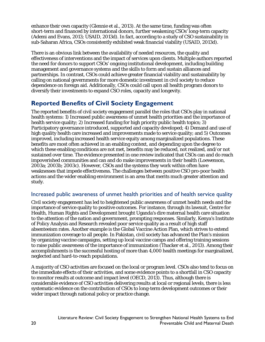enhance their own capacity (Glennie et al., 2013). At the same time, funding was often short-term and financed by international donors, further weakening CSOs' long-term capacity (Ademi and Evans, 2013; USAID, 2013d). In fact, according to a study of CSO sustainability in sub-Saharan Africa, CSOs consistently exhibited weak financial viability (USAID, 2013d).

There is an obvious link between the availability of needed resources, the quality and effectiveness of interventions and the impact of services upon clients. Multiple authors reported the need for donors to support CSOs' ongoing institutional development, including building management and governance systems and the skills to form and sustain alliances and partnerships. In contrast, CSOs could achieve greater financial viability and sustainability by calling on national governments for more domestic investment in civil society to reduce dependence on foreign aid. Additionally, CSOs could call upon all health program donors to diversify their investments to expand CSO roles, capacity and longevity.

## <span id="page-25-0"></span>**Reported Benefits of Civil Society Engagement**

The reported benefits of civil society engagement parallel the roles that CSOs play in national health systems: 1) Increased public awareness of unmet health priorities and the importance of health service quality; 2) Increased funding for high priority public health topics; 3) Participatory governance introduced, supported and capacity developed; 4) Demand and use of high quality health care increased and improvements made to service quality; and 5) Outcomes improved, including increased health service equity among marginalized populations. These benefits are most often achieved in an enabling context, and depending upon the degree to which these enabling conditions are not met, benefits may be reduced, not realized, and/or not sustained over time. The evidence presented in one review indicated that CSOs can and do reach impoverished communities and can and do make improvements in their health (Loewenson, 2003a; 2003b; 2003c). However, CSOs and the systems they work within often have weaknesses that impede effectiveness. The challenges between positive CSO pro-poor health actions and the wider enabling environment is an area that merits much greater attention and study.

## Increased public awareness of unmet health priorities and of health service quality

Civil society engagement has led to heightened public awareness of unmet health needs and the importance of service quality to positive outcomes. For instance, through its lawsuit, Centre for Health, Human Rights and Development brought Uganda's dire maternal health care situation to the attention of the nation and government, prompting responses. Similarly, Kenya's Institute of Policy Analysis and Research revealed poor service quality as a result of high staff absenteeism rates. Another example is the Global Vaccine Action Plan, which strives to extend immunization coverage to all people. In Pakistan, civil society has advanced the Plan's mission by organizing vaccine campaigns, setting up local vaccine camps and offering training sessions to raise public awareness of the importance of immunization (Thacker et al., 2013). Among their accomplishments is the successful hosting of more than 4,000 health meetings for marginalized, neglected and hard-to-reach populations.

A majority of CSO activities are focused on the local or program level. CSOs also tend to focus on the immediate effects of their activities, and some evidence points to a shortfall in CSO capacity to monitor results at outcome and impact level (OECD, 2013). Thus, although there is considerable evidence of CSO activities delivering results at local or regional levels, there is less systematic evidence on the contribution of CSOs to long-term development outcomes or their wider impact through national policy or practice change.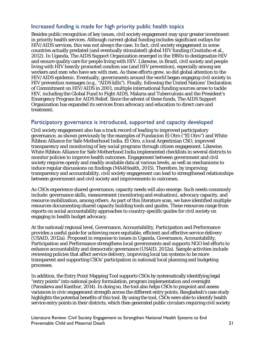## Increased funding is made for high priority public health topics

Besides public recognition of key issues, civil society engagement may spur greater investment in priority health services. Although current global funding includes significant outlays for HIV/AIDS services, this was not always the case. In fact, civil society engagement in some countries actually predated (and eventually stimulated) global HIV funding (Coutinho et al., 2012). In Uganda, The AIDS Support Organization emerged in the 1980s to destigmatize HIV and ensure quality care for people living with HIV. Likewise, in Brazil, civil society and people living with HIV heavily promoted condom use (and HIV prevention), especially among sex workers and men who have sex with men. As these efforts grew, so did global attention to the HIV/AIDS epidemic. Eventually, governments around the world began engaging civil society in HIV prevention messages (e.g., "AIDS kills"). Finally, following the United Nations' Declaration of Commitment on HIV/AIDS in 2001, multiple international funding sources arose to tackle HIV, including the Global Fund to Fight AIDS, Malaria and Tuberculosis and the President's Emergency Program for AIDS Relief. Since the advent of these funds, The AIDS Support Organization has expanded its services from advocacy and education to direct care and treatment.

### Participatory governance is introduced, supported and capacity developed

Civil society engagement also has a track record of leading to improved participatory governance, as shown previously by the examples of Fundacion El Otro ("El Otro") and White Ribbon Alliance for Safe Motherhood India. El Otro, a local Argentinian CSO, improved transparency and monitoring of key social programs through citizen engagement. Likewise, White Ribbon Alliance for Safe Motherhood India implemented checklists in several districts to monitor policies to improve health outcomes. Engagement between government and civil society requires openly and readily available data at various levels, as well as mechanisms to induce regular discussions on findings (MA4Health, 2015). Therefore, by improving transparency and accountability, civil society engagement can lead to strengthened relationships between government and civil society and improvements in outcomes.

As CSOs experience shared governance, capacity needs will also emerge. Such needs commonly include: governance skills, measurement (monitoring and evaluation), advocacy capacity, and resource mobilization, among others. As part of this literature scan, we have identified multiple resources documenting shared capacity building tools and guides. These resources range from reports on social accountability approaches to country-specific guides for civil society on engaging in health budget advocacy.

At the national/regional level, Governance, Accountability, Participation and Performance provides a useful guide for achieving more equitable, efficient and effective service delivery (USAID, 2012a). Proposed in response to issues in Uganda, Governance, Accountability, Participation and Performance strengthens local governments and supports NGO led efforts to enhance accountability and democratic governance (USAID, 2012a). Sample activities include reviewing policies that affect service delivery, improving local tax systems to be more transparent and supporting CSOs' participation in national/local planning and budgeting processes.

In addition, the Entry Point Mapping Tool supports CSOs by systematically identifying legal "entry points" into national policy formulation, program implementation and oversight (Paraskeva and Kanthor, 2014). In doing so, the tool also helps CSOs to pinpoint and assess variances in civic engagement strength across the different entry points. Bangladesh's case study highlights the potential benefits of this tool. By using the tool, CSOs were able to identify health service entry points in their districts, which then generated public circulars requiring civil society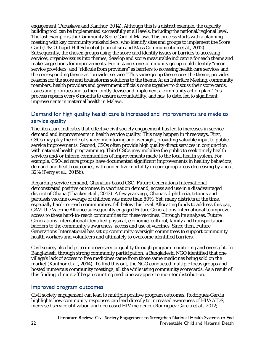engagement (Paraskeva and Kanthor, 2014). Although this is a district example, the capacity building tool can be implemented successfully at all levels, including the national/regional level. The last example is the Community Score Card of Malawi. This process starts with a planning meeting with key community stakeholders, who identify sites and groups to implement the Score Card (UNC-Chapel Hill School of Journalism and Mass Communication et al., 2012). Subsequently, the chosen groups using the score card identify issues or barriers to accessing services, organize issues into themes, develop and score measurable indicators for each theme and make suggestions for improvements. For instance, one community group could identify "mean service providers" and "ridicule from providers" as barriers to accessing health care services and the corresponding theme as "provider service." This same group then scores the theme, provides reasons for the score and brainstorms solutions to the theme. At an Interface Meeting, community members, health providers and government officials come together to discuss their score cards, issues and priorities and to then jointly devise and implement a community action plan. This process repeats every 6 months to ensure accountability, and has, to date, led to significant improvements in maternal health in Malawi.

### Demand for high quality health care is increased and improvements are made to service quality

The literature indicates that effective civil society engagement has led to increases in service demand and improvements in health service quality. This may happen in three ways. First, CSOs may play the role of shared monitoring and oversight, providing valuable input to public service improvements. Second, CSOs often provide high quality direct services in conjunction with national health programming. Third CSOs may mobilize the public to seek timely health services and/or inform communities of improvements made to the local health system. For example, CSO-led care groups have documented significant improvements in healthy behaviors, demand and health outcomes, with under-five mortality in care group areas decreasing by about 32% (Perry et al., 2015b).

Regarding service demand, Ghanaian-based CSO, Future Generations International demonstrated positive outcomes in vaccination demand, access and use in a disadvantaged district of Ghana (Thacker et al., 2013). A few years ago, Ghana's diphtheria, tetanus and pertussis vaccine coverage of children was more than 80%. Yet, many districts at the time, especially hard-to-reach communities, fell below this level. Allocating funds to address this gap, GAVI the Vaccine Alliance subsequently engaged Future Generations International to improve access to these hard-to-reach communities for these vaccines. Through its analyses, Future Generations International identified physical, economic, cultural, family and transportation barriers to the community's awareness, access and use of vaccines. Since then, Future Generations International has set up community oversight committees to support community health workers and volunteers and ultimately to overcome identified barriers.

Civil society also helps to improve service quality through program monitoring and oversight. In Bangladesh, through strong community participation, a Bangladeshi NGO identified that one village's lack of access to free medicines came from those same medicines being sold on the market (Kanthor et al., 2014). To find this out, the NGO conducted multiple focus groups and hosted numerous community meetings, all the while using community scorecards. As a result of this finding, clinic staff began counting medicine wrappers to monitor distribution.

#### Improved program outcomes

Civil society engagement can lead to multiple positive program outcomes. Rodriquez-Garcia highlights how community responses can lead directly to increased awareness of HIV/AIDS, increased service utilization and decreased HIV incidence (Rodriguez-Garcia et al., 2012;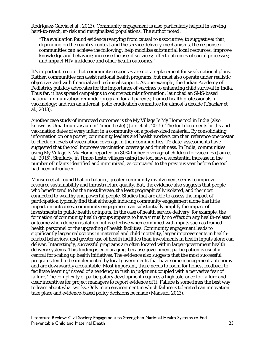Rodriguez-García et al., 2013). Community engagement is also particularly helpful in serving hard-to-reach, at-risk and marginalized populations. The author noted:

*"The evaluation found evidence (varying from causal to associative, to suggestive) that, depending on the country context and the service delivery mechanisms, the response of communities can achieve the following: help mobilize substantial local resources; improve knowledge and behavior; increase the use of services; affect outcomes of social processes; and impact HIV incidence and other health outcomes."*

It's important to note that community responses are not a replacement for weak national plans. Rather, communities can assist national health programs, but must also operate under realistic objectives and with financial and technical support. As one example, the Indian Academy of Pediatrics publicly advocates for the importance of vaccines to enhancing child survival in India. Thus far, it has spread campaigns to counteract misinformation; launched an SMS-based national immunization reminder program for all parents; trained health professionals in vaccinology; and run an internal, polio eradication committee for almost a decade (Thacker et al., 2013).

Another case study of improved outcomes is the My Village Is My Home tool in India (also known as Uma Imunizasaun in Timor-Leste) (Jain et al., 2015). The tool documents births and vaccination dates of every infant in a community on a poster-sized material. By consolidating information on one poster, community leaders and health workers can then reference one poster to check on levels of vaccination coverage in their communities. To date, assessments have suggested that the tool improves vaccination coverage and timeliness. In India, communities using My Village Is My Home reported an 80% higher coverage of children for vaccines (Jain et al., 2015). Similarly, in Timor-Leste, villages using the tool saw a substantial increase in the number of infants identified and immunized, as compared to the previous year before the tool had been introduced.

Mansuri et al. found that on balance, greater community involvement seems to improve resource sustainability and infrastructure quality. But, the evidence also suggests that people who benefit tend to be the most literate, the least geographically isolated, and the most connected to wealthy and powerful people. Studies that are able to assess the impact of participation typically find that although inducing community engagement alone has little impact on outcomes, community engagement can substantially amplify the impact of investments in public health or inputs. In the case of health service delivery, for example, the formation of community health groups appears to have virtually no effect on any health-related outcome when done in isolation but is effective when combined with inputs such as trained health personnel or the upgrading of health facilities. Community engagement leads to significantly larger reductions in maternal and child mortality, larger improvements in healthrelated behaviors, and greater use of health facilities than investments in health inputs alone can deliver. Interestingly, successful programs are often located within larger government health delivery systems. This finding is encouraging, because government participation is usually central for scaling up health initiatives. The evidence also suggests that the most successful programs tend to be implemented by local governments that have some management autonomy and are downwardly accountable. Most important, there needs to room for honest feedback to facilitate learning instead of a tendency to rush to judgment coupled with a pervasive fear of failure. The complexity of participatory development requires a high tolerance for failure and clear incentives for project managers to report evidence of it. Failure is sometimes the best way to learn about what works. Only in an environment in which failure is tolerated can innovation take place and evidence-based policy decisions be made (Mansuri, 2013).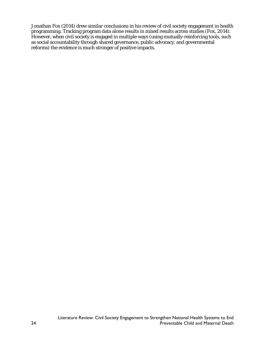Jonathan Fox (2014) drew similar conclusions in his review of civil society engagement in health programming. Tracking program data alone results in mixed results across studies (Fox, 2014). However, when civil society is engaged in multiple ways (using mutually-reinforcing tools, such as social accountability through shared governance, public advocacy, and governmental reforms) the evidence is much stronger of positive impacts.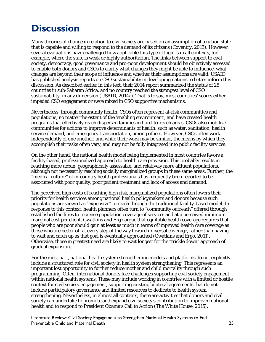# <span id="page-30-0"></span>**Discussion**

Many theories of change in relation to civil society are based on an assumption of a nation state that is capable and willing to respond to the demand of its citizens (Coventry, 2013). However, several evaluations have challenged how applicable this type of logic is in all contexts, for example, where the state is weak or highly authoritarian. The links between support to civil society, democracy, good governance and pro-poor development should be objectively assessed to enable both donors and CSOs to clarify what changes they might be able to influence, what changes are beyond their scope of influence and whether their assumptions are valid. USAID has published analysis reports on CSO sustainability in developing nations to better inform this discussion. As described earlier in this text, their 2014 report summarized the status of 25 countries in sub-Saharan Africa, and no country reached the strongest level of CSO sustainability, in any dimension (USAID, 2014a). That is to say, most countries' scores either impeded CSO engagement or were mixed in CSO supportive mechanisms.

Nevertheless, through community health, CSOs often represent at-risk communities and populations, no matter the extent of the 'enabling environment', and have created health programs that effectively reach dispersed families in hard-to-reach areas. CSOs also mobilize communities for actions to improve determinants of health, such as water, sanitation, health service demand, and emergency transportation, among others. However, CSOs often work independently of one another, and while their work may be similar, the means by which they accomplish their tasks often vary, and may not be fully integrated into public facility services.

On the other hand, the national health model being implemented in most countries favors a facility-based, professionalized approach to health care provision. This probably results in reaching more urban, geographically assessable, and relatively more affluent populations, although not necessarily reaching socially marginalized groups in these same areas. Further, the "medical culture" of in-country health professionals has frequently been reported to be associated with poor quality, poor patient treatment and lack of access and demand.

The perceived high costs of reaching high risk, marginalized populations often lowers their priority for health services among national health policymakers and donors because such populations are viewed as "expensive" to reach through the traditional facility-based model. In response to this context, health planners often turn to "community outreach" offered through established facilities to increase population coverage of services and at a perceived minimum marginal cost per client. Gwatkins and Ergo argue that equitable health coverage requires that people who are poor should gain at least as much in terms of improved health care coverage as those who are better off at every step of the way toward universal coverage, rather than having to wait and catch up as that goal is eventually approached (Gwatkins and Ergo, 2011). Otherwise, those in greatest need are likely to wait longest for the "trickle down" approach of gradual expansion.

For the most part, national health system strengthening models and platforms do not explicitly include a structured role for civil society in health system strengthening. This represents an important lost opportunity to further reduce mother and child mortality through such programming. Often, international donors face challenges supporting civil society engagement within national health systems. These may include working in countries with a limited or hostile context for civil society engagement, supporting existing bilateral agreements that do not include participatory governance and limited resources to dedicate to health system strengthening. Nevertheless, in almost all contexts, there are activities that donors and civil society can undertake to promote and expand civil society's contribution to improved national health and to respond to President Obama's Call to Action (The White House, 2015).

Literature Review: Civil Society Engagement to Strengthen National Health Systems to End Preventable Child and Maternal Death 25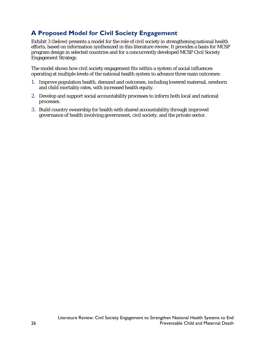# <span id="page-31-0"></span>**A Proposed Model for Civil Society Engagement**

Exhibit 3 (below) presents a model for the role of civil society in strengthening national health efforts, based on information synthesized in this literature review. It provides a basis for MCSP program design in selected countries and for a concurrently developed MCSP Civil Society Engagement Strategy.

The model shows how civil society engagement fits within a system of social influences operating at multiple levels of the national health system to advance three main outcomes:

- 1. Improve population health, demand and outcomes, including lowered maternal, newborn and child mortality rates, with increased health equity.
- 2. Develop and support social accountability processes to inform both local and national processes.
- 3. Build country ownership for health with shared accountability through improved governance of health involving government, civil society, and the private sector.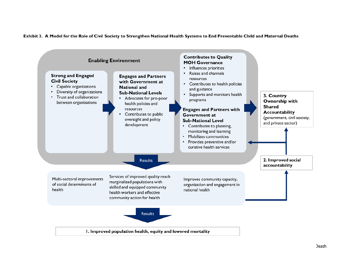

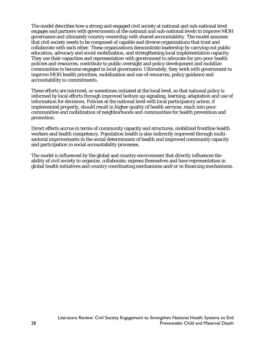The model describes how a strong and engaged civil society at national and sub-national level engages and partners with governments at the national and sub-national levels to improve MOH governance and ultimately country ownership with shared accountability. The model assumes that civil society needs to be composed of capable and diverse organizations that trust and collaborate with each other. These organizations demonstrate leadership by carrying out public education, advocacy and social mobilization, and strengthening local implementation capacity. They use their capacities and representation with government to advocate for pro-poor health policies and resources, contribute to public oversight and policy development and mobilize communities to become engaged in local governance. Ultimately, they work with government to improve MOH health priorities, mobilization and use of resources, policy guidance and accountability to commitments.

These efforts are mirrored, or sometimes initiated at the local level, so that national policy is informed by local efforts through improved bottom up signaling, learning, adaptation and use of information for decisions. Policies at the national level with local participatory action, if implemented properly, should result in higher quality of health services, reach into poor communities and mobilization of neighborhoods and communities for health prevention and promotion.

Direct effects accrue in terms of community capacity and structures, mobilized frontline health workers and health competency. Population health is also indirectly improved through multisectoral improvements in the social determinants of health and improved community capacity and participation in social accountability processes.

The model is influenced by the global and country environment that directly influences the ability of civil society to organize, collaborate, express themselves and have representation in global health initiatives and country coordinating mechanisms and/or in financing mechanisms.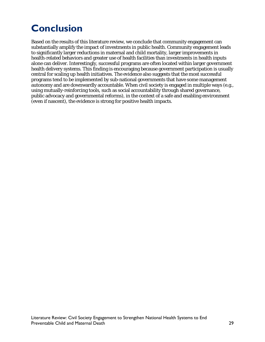# <span id="page-34-0"></span>**Conclusion**

Based on the results of this literature review, we conclude that community engagement can substantially amplify the impact of investments in public health. Community engagement leads to significantly larger reductions in maternal and child mortality, larger improvements in health-related behaviors and greater use of health facilities than investments in health inputs alone can deliver. Interestingly, successful programs are often located within larger government health delivery systems. This finding is encouraging because government participation is usually central for scaling up health initiatives. The evidence also suggests that the most successful programs tend to be implemented by sub-national governments that have some management autonomy and are downwardly accountable. When civil society is engaged in multiple ways (e.g., using mutually-reinforcing tools, such as social accountability through shared governance, public advocacy and governmental reforms), in the context of a safe and enabling environment (even if nascent), the evidence is strong for positive health impacts.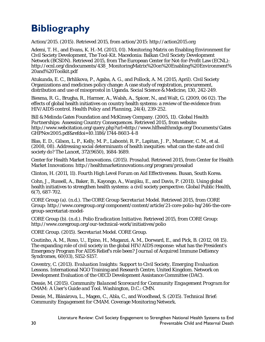# <span id="page-35-0"></span>**Bibliography**

Action/2015. (2015). Retrieved 2015, from action/2015: http://action2015.org

Ademi, T. H., and Evans, K. H.-M. (2013, 01). Monitoring Matrix on Enabling Environment for Civil Society Development, The Tool-Kit. Macedonia: Balkan Civil Society Development Network (BCSDN). Retrieved 2015, from The European Center for Not-for-Profit Law (ECNL): http://ecnl.org/dindocuments/438\_MonitoringMatrix%20on%20Enabling%20Environment% 20and%20Toolkit.pdf

Atukunda, E. C., Brhlikova, P., Agaba, A. G., and Pollock, A. M. (2015, April). Civil Society Organizations and medicines policy change: A case study of registration, procurement, distribution and use of misoprostol in Uganda. *Social Science & Medicine, 130*, 242-249.

Biesma, R. G., Brugha, R., Harmer, A., Walsh, A., Spicer, N., and Walt, G. (2009, 06 02). The effects of global health initiatives on country health systems: a review of the evidence from HIV/AIDS control. *Health Policy and Planning, 24*(4), 239-252.

Bill & Melinda Gates Foundation and McKinsey Company. (2005, 11). *Global Health Partnerships: Assessing Country Consequences.* Retrieved 2015, from website: http://www.webcitation.org/query.php?url=http://www.hlfhealthmdgs.org/Documents/Gates GHPNov2005.pdf&refdoi=10.1186/1744-8603-4-8

Blas, E. D., Gilson, L. P., Kelly, M. P., Labonté, R. P., Lapitan, J. P., Muntaner, C. M., et al. (2008, 08). Addressing social determinants of health inequities: what can the state and civil society do? *The Lancet, 372*(9650), 1684-1689.

Center for Health Market Innovations. (2015). *Prosalud*. Retrieved 2015, from Center for Health Market Innovations: http://healthmarketinnovations.org/program/prosalud

Clinton, H. (2011, 11). *Fourth High Level Forum on Aid Effectiveness.* Busan, South Korea.

Cohn, J., Russell, A., Baker, B., Kayongo, A., Wanjiku, E., and Davis, P. (2011). Using global health initiatives to strengthen health systems: a civil society perspective. *Global Public Health, 6*(7), 687-702.

CORE Group (a). (n.d.). *The CORE Group Secretariat Model*. Retrieved 2015, from CORE Group: http://www.coregroup.org/component/content/article/21-core-polio-hq/246-the-coregroup-secretariat-model-

CORE Group (b). (n.d.). *Polio Eradication Initiative*. Retrieved 2015, from CORE Group: http://www.coregroup.org/our-technical-work/initiatives/polio

CORE Group. (2015). *Secretariat Model.* CORE Group.

Coutinho, A. M., Roxo, U., Epino, H., Muganzi, A. M., Dorward, E., and Pick, B. (2012, 08 15). The expanding role of civil society in the global HIV/AIDS response: what has the President's Emergency Program For AIDS Relief's role been? *Journal of Acquired Immune Defiiency Syndromes, 60*(03), S152-S157.

Coventry, C. (2013). *Evaluation Insights: Support to Civil Society, Emerging Evaluation Lessons.* International NGO Training and Research Centre, United Kingdom. Network on Development Evaluation of the OECD Development Assistance Committee (DAC).

Dessie, M. (2015). *Community Balanced Scorecard for Community Engagement Program for CMAM: A User's Guide and Tool.* Washington, D.C.: CMN.

Dessie, M., Blánárova, L., Magen, C., Abla, C., and Woodhead, S. (2015). *Technical Brief: Community Engagement for CMAM.* Coverage Monitoring Network.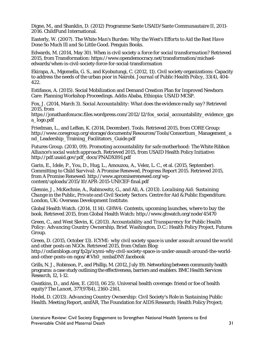Digne, M., and Shanklin, D. (2012) Programme Sante USAID/Sante Communautaire II, 2011- 2016. ChildFund International.

Easterly, W. (2007). *The White Man's Burden: Why the West's Efforts to Aid the Rest Have Done So Much Ill and So Little Good.* Penguin Books.

Edwards, M. (2014, May 30). *When is civil society a force for social transformation?* Retrieved 2015, from Transformation: https://www.opendemocracy.net/transformation/michaeledwards/when-is-civil-society-force-for-social-transformation

Ekirapa, A., Mgomella, G. S., and Kyobutungi, C. (2012, 11). Civil society organizations: Capacity to address the needs of the urban poor in Nairobi. *Journal of Public Health Policy, 33*(4), 404- 422.

Estifanos, A. (2015). Social Mobilization and Demand Creation Plan for Improved Newborn Care: Planning Workshop Proceedings. Addis Ababa, Ethiopia: USAID MCSP.

Fox, J. (2014, March 3). *Social Accountability: What does the evidence really say?* Retrieved 2015, from

https://jonathanfoxucsc.files.wordpress.com/2012/12/fox\_social\_accountability\_evidence\_gps a\_logo.pdf

Friedman, L., and LeBan, K. (2014, December). *Tools.* Retrieved 2015, from CORE Group: http://www.coregroup.org/storage/documents/Resources/Tools/Consortium\_Management\_a nd\_Leadership\_Training\_Facilitators\_Guide.pdf

Futures Group. (2010, 09). *Promoting accountability for safe motherhood: The White Ribbon Alliance's social watch approach.* Retrieved 2015, from USAID Health Policy Initiative: http://pdf.usaid.gov/pdf\_docs/PNADX891.pdf

Garin, E., Idele, P., You, D., Hug, L., Amouzou, A., Velez, L. C., et al. (2015, September). *Committing to Child Survival: A Promise Renewed, Progress Report 2015.* Retrieved 2015, from A Promise Renewed: http://www.apromiserenewed.org/wpcontent/uploads/2015/10/APR-2015-UNICEF-final.pdf

Glennie, J., McKechnie, A., Rabinowitz, G., and Ali, A. (2013). *Localising Aid: Sustaining Change in the Public, Private and Civil Society Sectors.* Centre for Aid & Public Expenditure. London, UK: Overseas Development Institute.

Global Health Watch. (2014, 11 14). *GHW4: Contents, upcoming launches, where to buy the book*. Retrieved 2015, from Global Health Watch: http://www.ghwatch.org/node/45470

Green, C., and West Slevin, K. (2013). *Accountability and Transparency for Public Health Policy: Advancing Country Ownership, Brief.* Washington, D.C.: Health Policy Project, Futures Group.

Green, D. (2015, October 13). *ICYMI: why civil society space is under assault around the world and other posts on NGOs*. Retrieved 2015, from Oxfam Blog:

http://oxfamblogs.org/fp2p/icymi-why-civil-society-space-is-under-assault-around-the-worldand-other-posts-on-ngos/#.Vh0\_nmbaDNY.facebook

Grills, N. J., Robinson, P., and Phillip, M. (2012, July 19). Networking between community health programs: a case study outlining the effectiveness, barriers and enablers. *BMC Health Services Research, 12*, 1-12.

Gwatkins, D., and Alex, E. (2011, 06 25). Universal health coverage: friend or foe of health equity? *The Lancet, 377*(9784), 2160-2161.

Hodel, D. (2013). *Advancing Country Ownership: Civil Society's Role in Sustaining Public Health.* Meeting Report, amfAR, The Foundation for AIDS Research; Health Policy Project;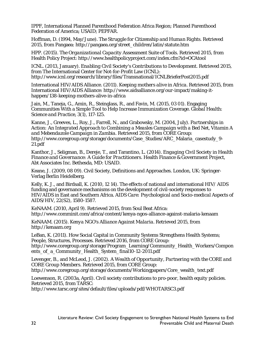IPPF, International Planned Parenthood Federation Africa Region; Planned Parenthood Federation of America; USAID; PEPFAR.

Hoffman, D. (1994, May/June). *The Struggle for Citizenship and Human Rights.* Retrieved 2015, from Pangaea: http://pangaea.org/street\_children/latin/statute.htm

HPP. (2015). *The Organizational Capacity Assessment Suite of Tools*. Retrieved 2015, from Health Policy Project: http://www.healthpolicyproject.com/index.cfm?id=OCAtool

ICNL. (2013, January). *Enabling Civil Society's Contributions to Development.* Retrieved 2015, from The International Center for Not-for-Profit Law (ICNL): http://www.icnl.org/research/library/files/Transnational/ICNLBrieferPost2015.pdf

International HIV/AIDS Alliance. (2011). *Keeping mothers alive in Africa*. Retrieved 2015, from International HIV/AIDS Alliance: http://www.aidsalliance.org/our-impact/making-ithappen/138-keeping-mothers-alive-in-africa

Jain, M., Taneja, G., Amin, R., Steinglass, R., and Favin, M. (2015, 03 01). Engaging Communities With a Simple Tool to Help Increase Immunization Coverage. *Global Health: Science and Practice, 3*(1), 117-125.

Kanne, J., Greeves, L., Roy, J., Farrell, N., and Grabowsky, M. (2004, July). *Partnerships in Action: An Integrated Approach to Combining a Measles Campaign with a Bed Net, Vitamin A and Mebendazole Campaign in Zambia.* Retrieved 2015, from CORE Group: http://www.coregroup.org/storage/documents/Case\_Studies/ARC\_Malaria\_casestudy\_9- 21.pdf

Kanthor, J., Seligman, B., Dereje, T., and Tarantino, L. (2014). *Engaging Civil Society in Health Finance and Governance: A Guide for Practitioners.* Health Finance & Government Project, Abt Associates Inc. Bethesda, MD: USAID.

Keane, J. (2009, 08 09). Civil Society, Definitions and Approaches. London, UK: Springer-Verlag Berlin Heidelberg.

Kelly, K. J., and Birdsall, K. (2010, 12 14). The effects of national and international HIV/ AIDS funding and governance mechanisms on the development of civil-society responses to HIV/AIDS in East and Southern Africa. *AIDS Care: Psychological and Socio-medical Aspects of AIDS/HIV, 22*(S2), 1580-1587.

*KeNAAM*. (2010, April 9). Retrieved 2015, from Soul Beat Africa: http://www.comminit.com/africa/content/kenya-ngos-alliance-against-malaria-kenaam

KeNAAM. (2015). *Kenya NGO's Alliance Against Malaria*. Retrieved 2015, from http://kenaam.org

LeBan, K. (2011). How Social Capital in Community Systems Strengthens Health Systems; People, Structures, Processes. Retrieved 2016, from CORE Group: http://www.coregroup.org/storage/Program\_Learning/Community\_Health\_Workers/Compon ents\_of\_a\_Community\_Health\_System\_final10-12-2011.pdf

Levenger, B., and McLeod, J. (2002). *A Wealth of Opportunity, Partnering with the CORE and CORE Group Members.* Retrieved 2015, from CORE Group: http://www.coregroup.org/storage/documents/Workingpapers/Core\_wealth\_text.pdf

Loewenson, R. (2003a, April). *Civil society contributions to pro-poor, health equity policies.* Retrieved 2015, from TARSC:

http://www.tarsc.org/sites/default/files/uploads/pdf/WHOTARSC3.pdf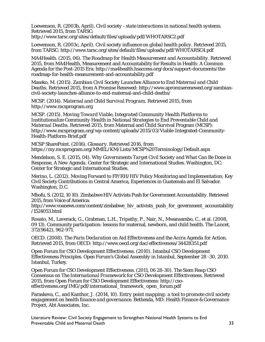Loewenson, R. (2003b, April). *Civil society - state interactions in national health systems.* Retrieved 2015, from TARSC:

http://www.tarsc.org/sites/default/files/uploads/pdf/WHOTARSC2.pdf

Loewenson, R. (2003c, April). *Civil society influence on global health policy.* Retrieved 2015, from TARSC: http://www.tarsc.org/sites/default/files/uploads/pdf/WHOTARSC4.pdf

MA4Health. (2015, 06). *The Roadmap for Health Measurement and Accountability.* Retrieved 2015, from MA4Health, Measurement and Accountability for Results in Health: A Common Agenda for the Post-2015 Era: http://ma4health.hsaccess.org/docs/support-documents/theroadmap-for-health-measurement-and-accountability.pdf

Maseko, M. (2015). *Zambian Civil Society Launches Alliance to End Maternal and Child Deaths.* Retrieved 2015, from A Promise Renewed: http://www.apromiserenewed.org/zambiancivil-society-launches-alliance-to-end-maternal-and-child-deaths/

MCSP. (2014). *Maternal and Child Survival Program*. Retrieved 2015, from http://www.mcsprogram.org

MCSP. (2015). *Moving Toward Viable, Integrated Community Health Platforms to Institutionalize Community Health in National Strategies to End Preventable Child and Maternal Deaths.* Retrieved 2015, from Maternal and Child Survival Program (MCSP): http://www.mcsprogram.org/wp-content/uploads/2015/03/Viable-Integrated-Community-Health-Platform-Brief.pdf

MCSP SharePoint. (2016). *Glossary.* Retrieved 2016, from https://my.mcsprogram.org/MMEL/KM/Lists/MCSP%20Terminology/Default.aspx

Mendelson, S. E. (2015, 04). *Why Governments Target Civil Society and What Can Be Done in Response, A New Agenda.* Center for Strategic and International Studies. Washington, DC: Center for Strategic and International Studies.

Merino, L. (2012). Moving Forward to FP/RH/HIV Policy Monitoring and Implementation; Key Civil Society Contributions in Central America, Experiences in Guatemala and El Salvador. Washington, D.C.

Mhofu, S. (2012, 10 10). *Zimbabwe HIV Activists Push for Government Accountability.* Retrieved 2015, from Voice of America:

http://www.voanews.com/content/zimbabwe\_hiv\_activists\_push\_for\_government\_accountability /1524053.html

Rosato, M., Laverack, G., Grabman, L.H., Tripathy, P., Nair, N., Mwansambo, C., et al. (2008, 09 13). Community participation: lessons for maternal, newborn, and child health. *The Lancet, 372*(9642), 962-971.

OECD. (2008). *The Paris Declaration on Aid Effectiveness and the Accra Agenda for Action.* Retrieved 2015, from OECD: http://www.oecd.org/dac/effectiveness/34428351.pdf

Open Forum for CSO Development Effectiveness. (2010). Istanbul CSO Development Effectiveness Principles. *Open Forum's Global Assembly in Istanbul, September 28 -30, 2010.* Istanbul, Turkey.

Open Forum for CSO Development Effectiveness. (2011, 06 28-30). *The Siem Reap CSO Consensus on The International Framework for CSO Development Effectiveness.* Retrieved 2015, from Open Forum for CSO Development Effectiveness: http://csoeffectiveness.org/IMG/pdf/international\_framework\_open\_forum.pdf

Paraskeva, C., and Kanthor, J. (2014, 10). *Entry point mapping: a tool to promote civil society engagement on health finance and governance.* Bethesda, MD: Health Finance & Governance Project, Abt Associates, Inc.

Literature Review: Civil Society Engagement to Strengthen National Health Systems to End Preventable Child and Maternal Death 33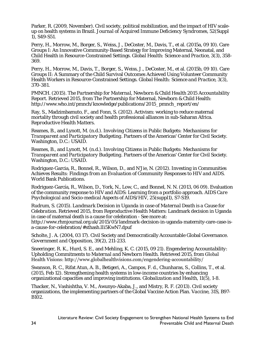Parker, R. (2009, November). Civil society, political mobilization, and the impact of HIV scaleup on health systems in Brazil. *Journal of Acquired Immune Deficiency Syndromes, 52*(Suppl 1), S49-S51.

Perry, H., Morrow, M., Borger, S., Weiss, J., DeCoster, M., Davis, T., et al. (2015a, 09 10). Care Groups I: An Innovative Community-Based Strategy for Improving Maternal, Neonatal, and Child Health in Resource-Constrained Settings. *Global Health: Science and Practice, 3*(3), 358- 369.

Perry, H., Morrow, M., Davis, T., Borger, S., Weiss, J., DeCoster, M., et al. (2015b, 09 10). Care Groups II: A Summary of the Child Survival Outcomes Achieved Using Volunteer Community Health Workers in Resource-Constrained Settings. *Global Health: Science and Practice, 3*(3), 370-381.

PMNCH. (2015). *The Partnership for Maternal, Newborn & Child Health 2015 Accountability Report.* Retrieved 2015, from The Partnership for Maternal, Newborn & Child Health: http://www.who.int/pmnch/knowledge/publications/2015\_pmnch\_report/en/

Ray, S., Madzimbamuto, F., and Fonn, S. (2012). Activism: working to reduce maternal mortality through civil society and health professional alliances in sub-Saharan Africa. *Reproductive Health Matters*.

Reames, B., and Lynott, M. (n.d.). *Involving Citizens in Public Budgets: Mechanisms for Transparent and Participatory Budgeting.* Partners of the Americas' Center for Civil Society. Washington, D.C.: USAID.

Reames, B., and Lynott, M. (n.d.). *Involving Citizens in Public Budgets: Mechanisms for Transparent and Participatory Budgeting.* Partners of the Americas' Center for Civil Society. Washington, D.C.: USAID.

Rodriguez-Garcia, R., Bonnel, R., Wilson, D., and N'Jie, N. (2012). *Investing in Communities Achieves Results: Findings from an Evaluation of Community Responses to HIV and AIDS.* World Bank Publications.

Rodriguez-García, R., Wilson, D., York, N., Low, C., and Bonnel, N. N. (2013, 06 09). Evaluation of the community response to HIV and AIDS: Learning from a portfolio approach. *AIDS Care Psychological and Socio-medical Aspects of AIDS/HIV, 25*(suppl1), S7-S19.

Rudrum, S. (2015). *Landmark Decision in Uganda in case of Maternal Death is a Cause for Celebration.* Retrieved 2015, from Reproductive Health Matters: Landmark decision in Uganda in case of maternal death is a cause for celebration - See more at:

http://www.rhmjournal.org.uk/2015/05/landmark-decision-in-uganda-maternity-care-case-isa-cause-for-celebration/#sthash.lIi5KwN7.dpuf

Scholte, J. A. (2004, 03 17). Civil Society and Democratically Accountable Global Governance. *Government and Opposition, 39*(2), 211-233.

Sneeringer, R. K., Hurd, S. E., and Mehling, K. C. (2015, 09 21). *Engendering Accountability: Upholding Commitments to Maternal and Newborn Health.* Retrieved 2015, from Global Health Visions: http://www.globalhealthvisions.com/engendering-accountability/

Swanson, R. C., Rifat Atun, A. B., Betigeri, A., Campos, F. d., Chunharas, S., Collins, T., et al. (2015, Feb 12). Strengthening health systems in low-income countries by enhancing organizational capacities and improving institutions. *Globalization and Health, 11*(5), 1-8.

Thacker, N., Vashishtha, V. M., Awunyo-Akaba, J., and Mistry, R. F. (2013). Civil society organizations, the implementing partners of the Global Vaccine Action Plan. *Vaccine, 31S*, B97- B102.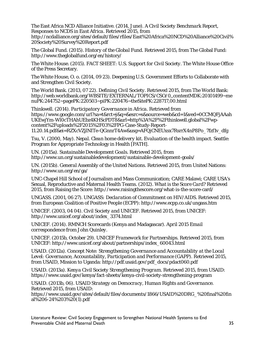The East Africa NCD Alliance Initiative. (2014, June). *A Civil Society Benchmark Report, Responses to NCDS in East Africa.* Retrieved 2015, from

http://ncdalliance.org/sites/default/files/rfiles/East%20Africa%20NCD%20Alliance%20Civil% 20Society%20Survey%20Report.pdf

The Global Fund. (2015). *History of the Global Fund*. Retrieved 2015, from The Global Fund: http://www.theglobalfund.org/en/history/

The White House. (2015). *FACT SHEET: U.S. Support for Civil Society.* The White House Office of the Press Secretary.

The White House, O. o. (2014, 09 23). Deepening U.S. Government Efforts to Collaborate with and Strengthen Civil Society.

The World Bank. (2013, 07 22). *Defining Civil Society*. Retrieved 2015, from The World Bank: http://web.worldbank.org/WBSITE/EXTERNAL/TOPICS/CSO/0,,contentMDK:20101499~me nuPK:244752~pagePK:220503~piPK:220476~theSitePK:228717,00.html

Thinkwell. (2014). *Participatory Governance in Africa.* Retrieved from https://www.google.com/url?sa=t&rct=j&q=&esrc=s&source=web&cd=1&ved=0CCMQFjAAah UKEwjYm-Wl0cTHAhUEbz4KHScPDT8&url=http%3A%2F%2Fthinkwell.global%2Fwpcontent%2Fuploads%2F2015%2F03%2FPG-Case-Study-Report-11.20.14.pdf&ei=RZXcVZjlNITe-QGnnrT4Aw&usg=AFQjCNEUxsx7RsrrX4nP8Po\_7fzf1v\_dfg

Tsu, V. (2000, May). *Nepal. Clean home delivery kit. Evaluation of the health impact.* Seattle: Program for Appropriate Technology in Health [PATH].

UN. (2015a). *Sustainable Development Goals*. Retrieved 2015, from http://www.un.org/sustainabledevelopment/sustainable-development-goals/

UN. (2015b). *General Assembly of the United Nations*. Retrieved 2015, from United Nations: http://www.un.org/en/ga/

UNC-Chapel Hill School of Journalism and Mass Communication; CARE Malawi; CARE USA's Sexual, Reproductive and Maternal Health Teams. (2012). *What is the Score Card?* Retrieved 2015, from Raising the Score: http://www.raisingthescore.org/what-is-the-score-card/

UNGASS. (2001, 06 27). *UNGASS: Declaration of Commitment on HIV/AIDS.* Retrieved 2015, from European Coalition of Positive People (ECPP): http://www.ecpp.co.uk/ungass.htm

UNICEF. (2003, 04 04). *Civil Society and UNICEF*. Retrieved 2015, from UNICEF: http://www.unicef.org/about/index\_3374.html

UNICEF. (2014). RMNCH Scorecards (Kenya and Madagascar). *April 2015 Email correspondence from John Quinley*.

UNICEF. (2015b, October 29). *UNICEF Framework for Partnerships*. Retrieved 2015, from UNICEF: http://www.unicef.org/about/partnerships/index\_60043.html

USAID. (2012a). *Concept Note: Strengthening Governance and Accountability at the Local Level: Governance, Accountability, Participation and Performance (GAPP).* Retrieved 2015, from USAID, Mission to Uganda: http://pdf.usaid.gov/pdf\_docs/pdact060.pdf

USAID. (2013a). *Kenya Civil Society Strengthening Program.* Retrieved 2015, from USAID: https://www.usaid.gov/kenya/fact-sheets/kenya-civil-society-strengthening-program

USAID. (2013b, 06). *USAID Strategy on Democracy, Human Rights and Governance.* Retrieved 2015, from USAID:

https://www.usaid.gov/sites/default/files/documents/1866/USAID%20DRG\_%20final%20fin al%206-24%203%20(1).pdf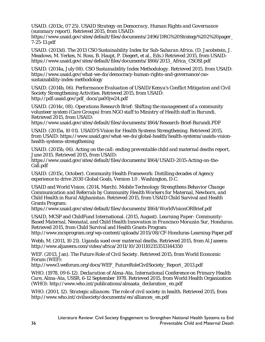USAID. (2013c, 07 25). *USAID Strategy on Democracy, Human Rights and Governance (summary report).* Retrieved 2015, from USAID:

https://www.usaid.gov/sites/default/files/documents/2496/DRG%20Strategy%202%20pager\_ 7-25-13.pdf

USAID. (2013d). *The 2013 CSO Sustainability Index for Sub-Saharan Africa.* (D. Jacobstein, J. Meadows, M. Yerkes, N. Ross, B. Haupt, P. Diegert, et al., Eds.) Retrieved 2015, from USAID: https://www.usaid.gov/sites/default/files/documents/1866/2013\_Africa\_CSOSI.pdf

USAID. (2014a, July 08). *CSO Sustainability Index Methodology*. Retrieved 2015, from USAID: https://www.usaid.gov/what-we-do/democracy-human-rights-and-governance/csosustainability-index-methodology

USAID. (2014b, 06). *Performance Evaluation of USAID/Kenya's Conflict Mitigation and Civil Society Strengthening Activities.* Retrieved 2015, from USAID: http://pdf.usaid.gov/pdf\_docs/pa00jw24.pdf

USAID. (2014c, 08). *Operations Research Brief: Shifting the management of a community volunteer system (Care Groups) from NGO staff to Ministry of Health staff in Burundi.* Retrieved 2015, from USAID:

https://www.usaid.gov/sites/default/files/documents/1864/Research-Brief-Burundi.PDF

USAID. (2015a, 10 01). *USAID'S Vision for Health Systems Strengthening.* Retrieved 2015, from USAID: https://www.usaid.gov/what-we-do/global-health/health-systems/usaids-visionhealth-systems-strengthening

USAID. (2015b, 06). *Acting on the call: ending preventable child and maternal deaths report, June 2015.* Retrieved 2015, from USAID:

https://www.usaid.gov/sites/default/files/documents/1864/USAID-2015-Acting-on-the-Call.pdf

USAID. (2015c, October). Community Health Framework: Distilling decades of Agency experience to drive 2030 Global Goals, Version 1.0 . Washington, D.C.

USAID and World Vision. (2014, March). *Mobile Technology Strengthens Behavior Change Communication and Referrals by Community Health Workers for Maternal, Newborn, and Child Health in Rural Afghanistan.* Retrieved 2015, from USAID Child Survival and Health Grants Program:

https://www.usaid.gov/sites/default/files/documents/1864/WorldVisionORBrief.pdf

USAID, MCSP and ChildFund International. (2015, August). *Learning Paper: Community-Based Maternal, Neonatal, and Child Health Innovation in Francisco Morazán Sur, Honduras.* Retrieved 2015, from Child Survival and Health Grants Program:

http://www.mcsprogram.org/wp-content/uploads/2015/08/CF-Honduras-Learning-Paper.pdf

Webb, M. (2011, 10 21). *Uganda sued over maternal deaths*. Retrieved 2015, from Al Jazeera: http://www.aljazeera.com/video/africa/2011/10/2011102153513144350

WEF. (2013, Jan). *The Future Role of Civil Society.* Retrieved 2015, from World Economic Forum (WEF):

http://www3.weforum.org/docs/WEF\_FutureRoleCivilSociety\_Report\_2013.pdf

WHO. (1978, 09 6-12). *Declaration of Alma-Ata, International Conference on Primary Health Care, Alma-Ata, USSR, 6-12 September 1978.* Retrieved 2015, from World Health Organization (WHO): http://www.who.int/publications/almaata\_declaration\_en.pdf

WHO. (2001, 12). *Strategic alliances: The role of civil society in health.* Retrieved 2015, from http://www.who.int/civilsociety/documents/en/alliances\_en.pdf